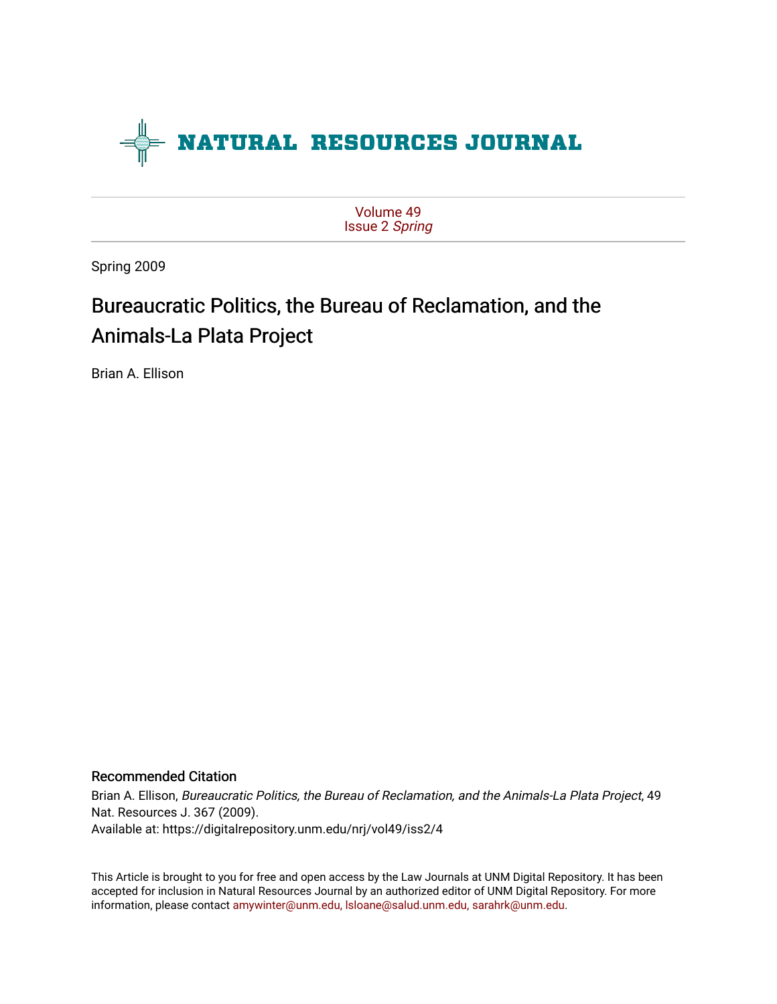

[Volume 49](https://digitalrepository.unm.edu/nrj/vol49) [Issue 2](https://digitalrepository.unm.edu/nrj/vol49/iss2) Spring

Spring 2009

# Bureaucratic Politics, the Bureau of Reclamation, and the Animals-La Plata Project

Brian A. Ellison

# Recommended Citation

Brian A. Ellison, Bureaucratic Politics, the Bureau of Reclamation, and the Animals-La Plata Project, 49 Nat. Resources J. 367 (2009). Available at: https://digitalrepository.unm.edu/nrj/vol49/iss2/4

This Article is brought to you for free and open access by the Law Journals at UNM Digital Repository. It has been accepted for inclusion in Natural Resources Journal by an authorized editor of UNM Digital Repository. For more information, please contact [amywinter@unm.edu, lsloane@salud.unm.edu, sarahrk@unm.edu](mailto:amywinter@unm.edu,%20lsloane@salud.unm.edu,%20sarahrk@unm.edu).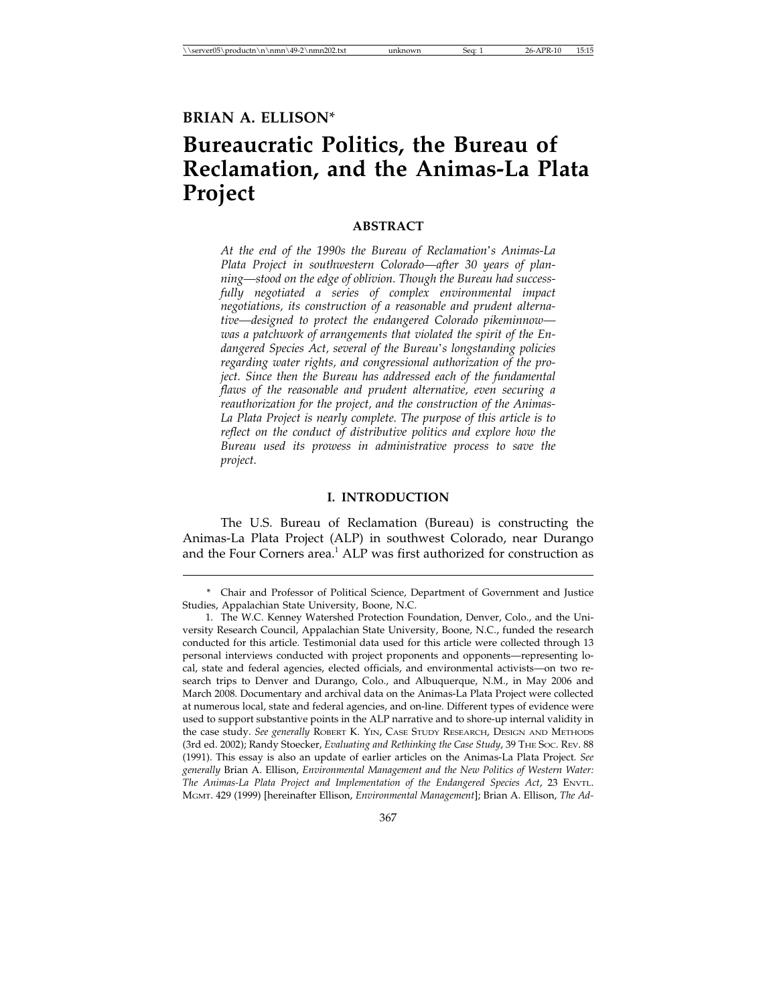# **Bureaucratic Politics, the Bureau of Reclamation, and the Animas-La Plata Project**

## **ABSTRACT**

*At the end of the 1990s the Bureau of Reclamation*'*s Animas-La Plata Project in southwestern Colorado—after 30 years of planning—stood on the edge of oblivion. Though the Bureau had successfully negotiated a series of complex environmental impact negotiations, its construction of a reasonable and prudent alternative—designed to protect the endangered Colorado pikeminnow was a patchwork of arrangements that violated the spirit of the Endangered Species Act, several of the Bureau*'*s longstanding policies regarding water rights, and congressional authorization of the project. Since then the Bureau has addressed each of the fundamental flaws of the reasonable and prudent alternative, even securing a reauthorization for the project, and the construction of the Animas-La Plata Project is nearly complete. The purpose of this article is to reflect on the conduct of distributive politics and explore how the Bureau used its prowess in administrative process to save the project.*

#### **I. INTRODUCTION**

The U.S. Bureau of Reclamation (Bureau) is constructing the Animas-La Plata Project (ALP) in southwest Colorado, near Durango and the Four Corners area.<sup>1</sup> ALP was first authorized for construction as

367

<sup>\*</sup> Chair and Professor of Political Science, Department of Government and Justice Studies, Appalachian State University, Boone, N.C.

<sup>1.</sup> The W.C. Kenney Watershed Protection Foundation, Denver, Colo., and the University Research Council, Appalachian State University, Boone, N.C., funded the research conducted for this article. Testimonial data used for this article were collected through 13 personal interviews conducted with project proponents and opponents—representing local, state and federal agencies, elected officials, and environmental activists—on two research trips to Denver and Durango, Colo., and Albuquerque, N.M., in May 2006 and March 2008. Documentary and archival data on the Animas-La Plata Project were collected at numerous local, state and federal agencies, and on-line. Different types of evidence were used to support substantive points in the ALP narrative and to shore-up internal validity in the case study. *See generally* ROBERT K. YIN, CASE STUDY RESEARCH, DESIGN AND METHODS (3rd ed. 2002); Randy Stoecker, *Evaluating and Rethinking the Case Study*, 39 THE SOC. REV. 88 (1991). This essay is also an update of earlier articles on the Animas-La Plata Project. *See generally* Brian A. Ellison, *Environmental Management and the New Politics of Western Water: The Animas-La Plata Project and Implementation of the Endangered Species Act*, 23 ENVTL. MGMT. 429 (1999) [hereinafter Ellison, *Environmental Management*]; Brian A. Ellison, *The Ad-*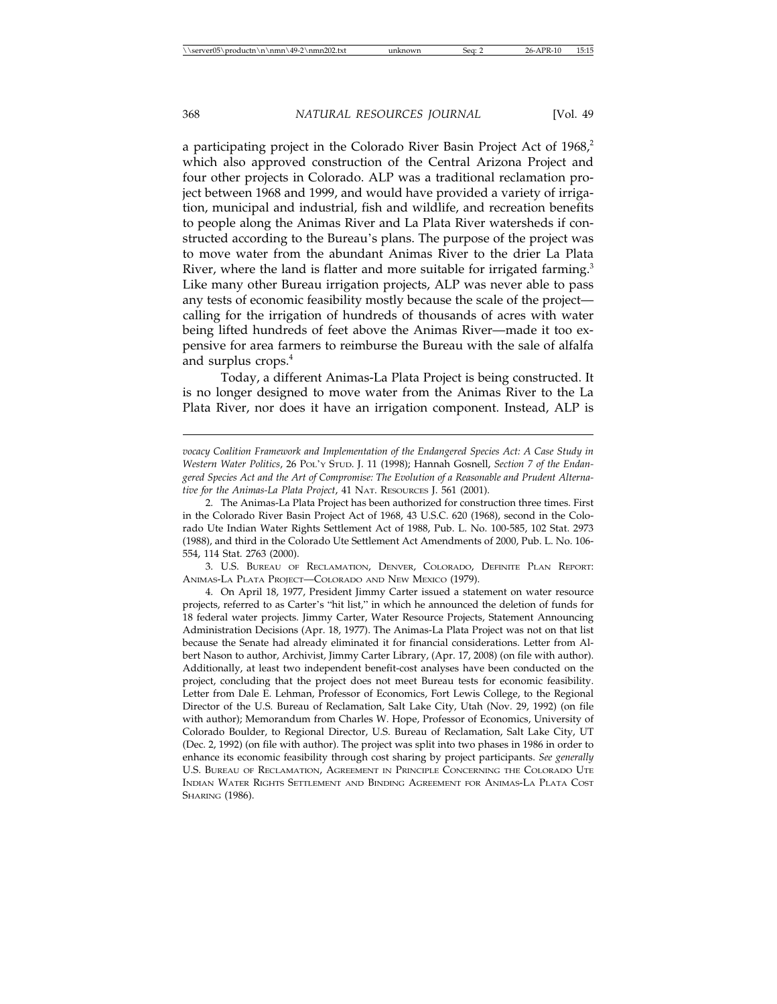a participating project in the Colorado River Basin Project Act of 1968,<sup>2</sup> which also approved construction of the Central Arizona Project and four other projects in Colorado. ALP was a traditional reclamation project between 1968 and 1999, and would have provided a variety of irrigation, municipal and industrial, fish and wildlife, and recreation benefits to people along the Animas River and La Plata River watersheds if constructed according to the Bureau's plans. The purpose of the project was to move water from the abundant Animas River to the drier La Plata River, where the land is flatter and more suitable for irrigated farming.<sup>3</sup> Like many other Bureau irrigation projects, ALP was never able to pass any tests of economic feasibility mostly because the scale of the project calling for the irrigation of hundreds of thousands of acres with water being lifted hundreds of feet above the Animas River—made it too expensive for area farmers to reimburse the Bureau with the sale of alfalfa and surplus crops.<sup>4</sup>

Today, a different Animas-La Plata Project is being constructed. It is no longer designed to move water from the Animas River to the La Plata River, nor does it have an irrigation component. Instead, ALP is

3. U.S. BUREAU OF RECLAMATION, DENVER, COLORADO, DEFINITE PLAN REPORT: ANIMAS-LA PLATA PROJECT—COLORADO AND NEW MEXICO (1979).

*vocacy Coalition Framework and Implementation of the Endangered Species Act: A Case Study in Western Water Politics*, 26 POL'Y STUD. J. 11 (1998); Hannah Gosnell, *Section 7 of the Endangered Species Act and the Art of Compromise: The Evolution of a Reasonable and Prudent Alternative for the Animas-La Plata Project*, 41 NAT. RESOURCES J. 561 (2001).

<sup>2.</sup> The Animas-La Plata Project has been authorized for construction three times. First in the Colorado River Basin Project Act of 1968, 43 U.S.C. 620 (1968), second in the Colorado Ute Indian Water Rights Settlement Act of 1988, Pub. L. No. 100-585, 102 Stat. 2973 (1988), and third in the Colorado Ute Settlement Act Amendments of 2000, Pub. L. No. 106- 554, 114 Stat. 2763 (2000).

<sup>4.</sup> On April 18, 1977, President Jimmy Carter issued a statement on water resource projects, referred to as Carter's "hit list," in which he announced the deletion of funds for 18 federal water projects. Jimmy Carter, Water Resource Projects, Statement Announcing Administration Decisions (Apr. 18, 1977). The Animas-La Plata Project was not on that list because the Senate had already eliminated it for financial considerations. Letter from Albert Nason to author, Archivist, Jimmy Carter Library, (Apr. 17, 2008) (on file with author). Additionally, at least two independent benefit-cost analyses have been conducted on the project, concluding that the project does not meet Bureau tests for economic feasibility. Letter from Dale E. Lehman, Professor of Economics, Fort Lewis College, to the Regional Director of the U.S. Bureau of Reclamation, Salt Lake City, Utah (Nov. 29, 1992) (on file with author); Memorandum from Charles W. Hope, Professor of Economics, University of Colorado Boulder, to Regional Director, U.S. Bureau of Reclamation, Salt Lake City, UT (Dec. 2, 1992) (on file with author). The project was split into two phases in 1986 in order to enhance its economic feasibility through cost sharing by project participants. *See generally* U.S. BUREAU OF RECLAMATION, AGREEMENT IN PRINCIPLE CONCERNING THE COLORADO UTE INDIAN WATER RIGHTS SETTLEMENT AND BINDING AGREEMENT FOR ANIMAS-LA PLATA COST SHARING (1986).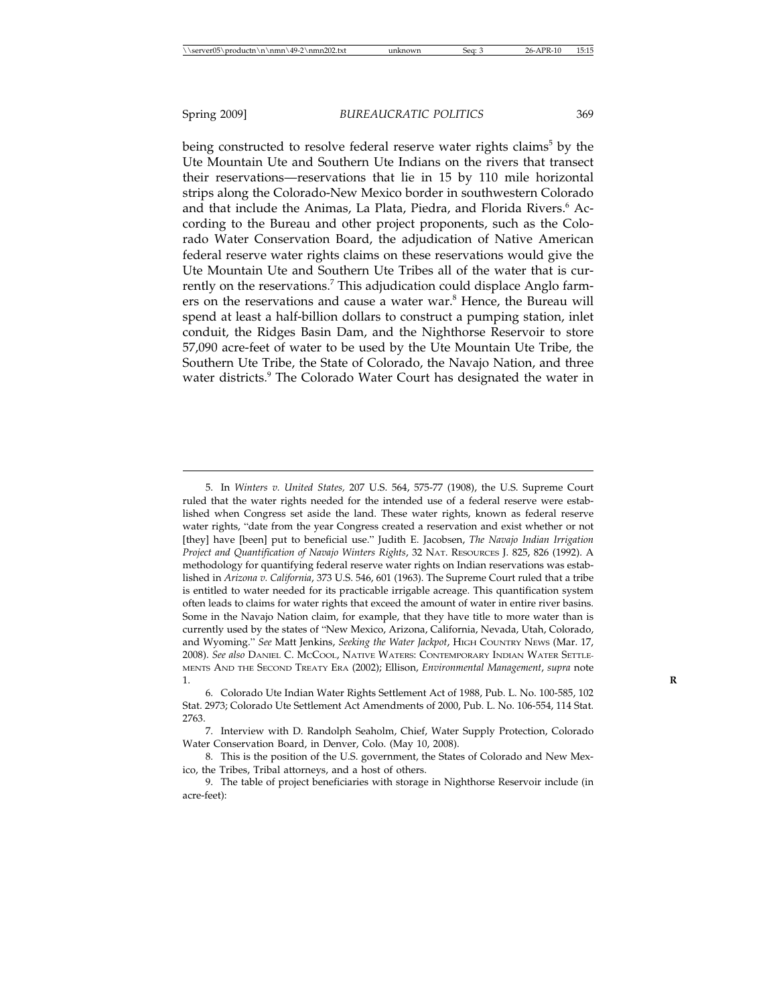being constructed to resolve federal reserve water rights claims<sup>5</sup> by the Ute Mountain Ute and Southern Ute Indians on the rivers that transect their reservations—reservations that lie in 15 by 110 mile horizontal strips along the Colorado-New Mexico border in southwestern Colorado and that include the Animas, La Plata, Piedra, and Florida Rivers.<sup>6</sup> According to the Bureau and other project proponents, such as the Colorado Water Conservation Board, the adjudication of Native American federal reserve water rights claims on these reservations would give the Ute Mountain Ute and Southern Ute Tribes all of the water that is currently on the reservations.<sup>7</sup> This adjudication could displace Anglo farmers on the reservations and cause a water war.<sup>8</sup> Hence, the Bureau will spend at least a half-billion dollars to construct a pumping station, inlet conduit, the Ridges Basin Dam, and the Nighthorse Reservoir to store 57,090 acre-feet of water to be used by the Ute Mountain Ute Tribe, the Southern Ute Tribe, the State of Colorado, the Navajo Nation, and three water districts.<sup>9</sup> The Colorado Water Court has designated the water in

<sup>5.</sup> In *Winters v. United States,* 207 U.S. 564, 575-77 (1908), the U.S. Supreme Court ruled that the water rights needed for the intended use of a federal reserve were established when Congress set aside the land. These water rights, known as federal reserve water rights, "date from the year Congress created a reservation and exist whether or not [they] have [been] put to beneficial use." Judith E. Jacobsen, *The Navajo Indian Irrigation Project and Quantification of Navajo Winters Rights*, 32 NAT. RESOURCES J. 825, 826 (1992). A methodology for quantifying federal reserve water rights on Indian reservations was established in *Arizona v. California*, 373 U.S. 546, 601 (1963). The Supreme Court ruled that a tribe is entitled to water needed for its practicable irrigable acreage. This quantification system often leads to claims for water rights that exceed the amount of water in entire river basins. Some in the Navajo Nation claim, for example, that they have title to more water than is currently used by the states of "New Mexico, Arizona, California, Nevada, Utah, Colorado, and Wyoming." *See* Matt Jenkins, *Seeking the Water Jackpot*, HIGH COUNTRY NEWS (Mar. 17, 2008). *See also* DANIEL C. MCCOOL, NATIVE WATERS: CONTEMPORARY INDIAN WATER SETTLE-MENTS AND THE SECOND TREATY ERA (2002); Ellison, *Environmental Management*, *supra* note 1. **R**

<sup>6.</sup> Colorado Ute Indian Water Rights Settlement Act of 1988, Pub. L. No. 100-585, 102 Stat. 2973; Colorado Ute Settlement Act Amendments of 2000, Pub. L. No. 106-554, 114 Stat. 2763.

<sup>7.</sup> Interview with D. Randolph Seaholm, Chief, Water Supply Protection, Colorado Water Conservation Board, in Denver, Colo. (May 10, 2008).

<sup>8.</sup> This is the position of the U.S. government, the States of Colorado and New Mexico, the Tribes, Tribal attorneys, and a host of others.

<sup>9.</sup> The table of project beneficiaries with storage in Nighthorse Reservoir include (in acre-feet):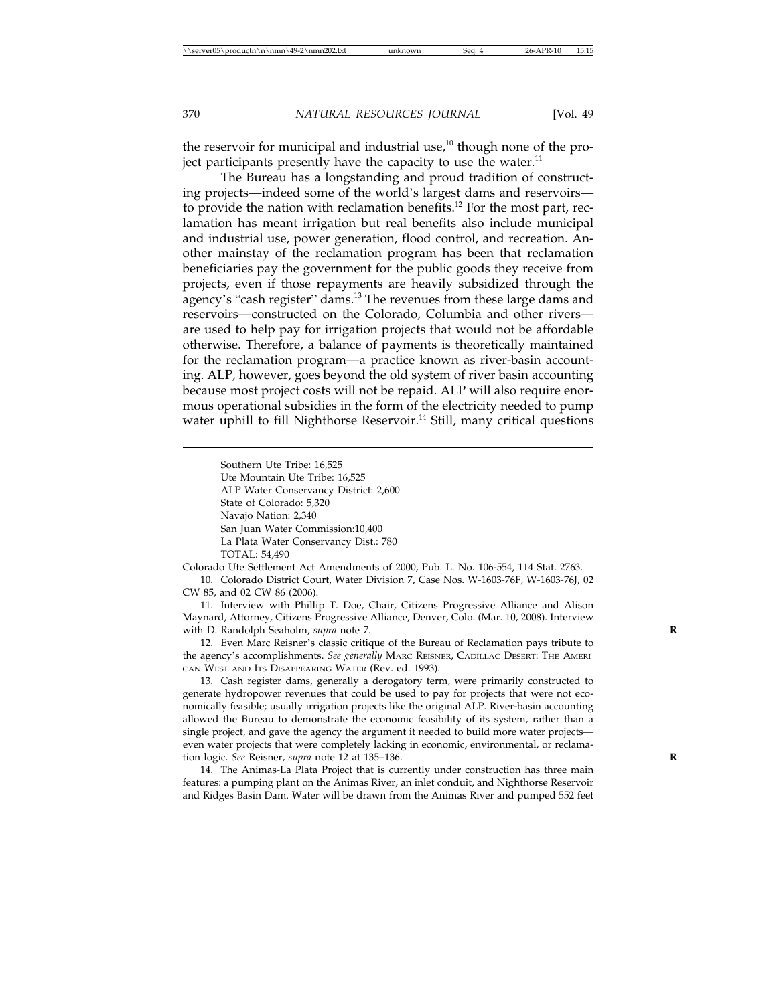the reservoir for municipal and industrial use, $10$  though none of the project participants presently have the capacity to use the water.<sup>11</sup>

The Bureau has a longstanding and proud tradition of constructing projects—indeed some of the world's largest dams and reservoirs to provide the nation with reclamation benefits.<sup>12</sup> For the most part, reclamation has meant irrigation but real benefits also include municipal and industrial use, power generation, flood control, and recreation. Another mainstay of the reclamation program has been that reclamation beneficiaries pay the government for the public goods they receive from projects, even if those repayments are heavily subsidized through the agency's "cash register" dams.<sup>13</sup> The revenues from these large dams and reservoirs—constructed on the Colorado, Columbia and other rivers are used to help pay for irrigation projects that would not be affordable otherwise. Therefore, a balance of payments is theoretically maintained for the reclamation program—a practice known as river-basin accounting. ALP, however, goes beyond the old system of river basin accounting because most project costs will not be repaid. ALP will also require enormous operational subsidies in the form of the electricity needed to pump water uphill to fill Nighthorse Reservoir.<sup>14</sup> Still, many critical questions

Southern Ute Tribe: 16,525 Ute Mountain Ute Tribe: 16,525 ALP Water Conservancy District: 2,600 State of Colorado: 5,320 Navajo Nation: 2,340 San Juan Water Commission:10,400 La Plata Water Conservancy Dist.: 780 TOTAL: 54,490

Colorado Ute Settlement Act Amendments of 2000, Pub. L. No. 106-554, 114 Stat. 2763. 10. Colorado District Court, Water Division 7, Case Nos. W-1603-76F, W-1603-76J, 02

CW 85, and 02 CW 86 (2006).

11. Interview with Phillip T. Doe, Chair, Citizens Progressive Alliance and Alison Maynard, Attorney, Citizens Progressive Alliance, Denver, Colo. (Mar. 10, 2008). Interview with D. Randolph Seaholm, *supra* note 7.

12. Even Marc Reisner's classic critique of the Bureau of Reclamation pays tribute to the agency's accomplishments. *See generally* MARC REISNER, CADILLAC DESERT: THE AMERI-CAN WEST AND ITS DISAPPEARING WATER (Rev. ed. 1993).

13. Cash register dams, generally a derogatory term, were primarily constructed to generate hydropower revenues that could be used to pay for projects that were not economically feasible; usually irrigation projects like the original ALP. River-basin accounting allowed the Bureau to demonstrate the economic feasibility of its system, rather than a single project, and gave the agency the argument it needed to build more water projects even water projects that were completely lacking in economic, environmental, or reclamation logic. *See* Reisner, *supra* note 12 at 135–136. **R**

14. The Animas-La Plata Project that is currently under construction has three main features: a pumping plant on the Animas River, an inlet conduit, and Nighthorse Reservoir and Ridges Basin Dam. Water will be drawn from the Animas River and pumped 552 feet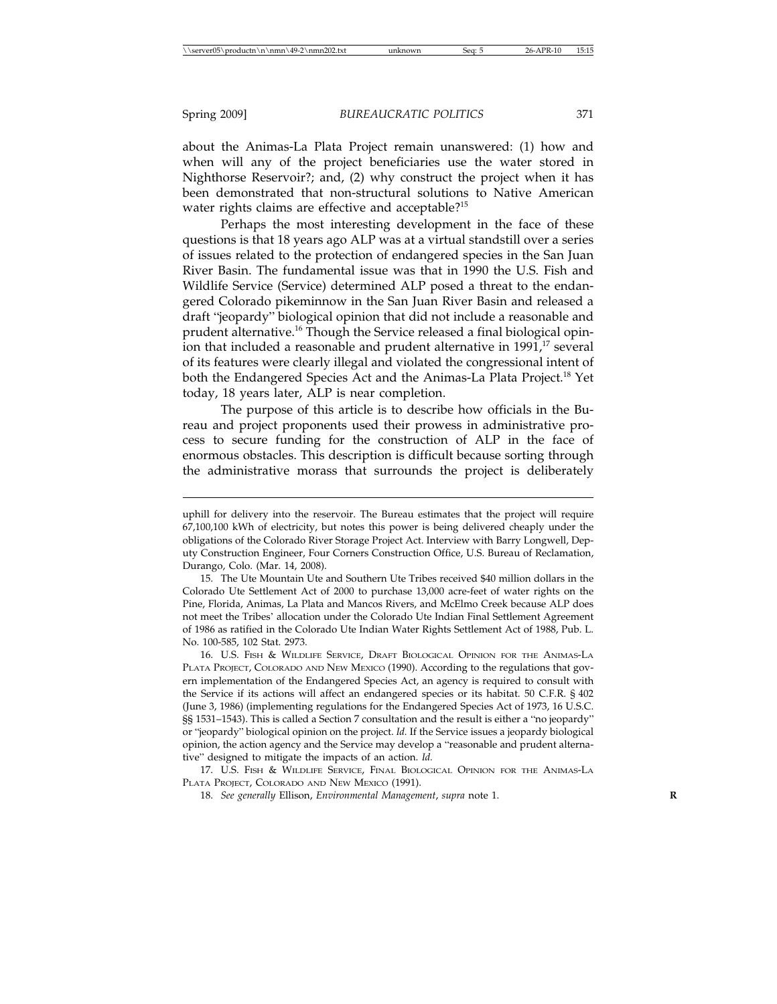about the Animas-La Plata Project remain unanswered: (1) how and when will any of the project beneficiaries use the water stored in Nighthorse Reservoir?; and, (2) why construct the project when it has been demonstrated that non-structural solutions to Native American water rights claims are effective and acceptable?<sup>15</sup>

Perhaps the most interesting development in the face of these questions is that 18 years ago ALP was at a virtual standstill over a series of issues related to the protection of endangered species in the San Juan River Basin. The fundamental issue was that in 1990 the U.S. Fish and Wildlife Service (Service) determined ALP posed a threat to the endangered Colorado pikeminnow in the San Juan River Basin and released a draft "jeopardy" biological opinion that did not include a reasonable and prudent alternative.16 Though the Service released a final biological opinion that included a reasonable and prudent alternative in 1991,<sup>17</sup> several of its features were clearly illegal and violated the congressional intent of both the Endangered Species Act and the Animas-La Plata Project.<sup>18</sup> Yet today, 18 years later, ALP is near completion.

The purpose of this article is to describe how officials in the Bureau and project proponents used their prowess in administrative process to secure funding for the construction of ALP in the face of enormous obstacles. This description is difficult because sorting through the administrative morass that surrounds the project is deliberately

17. U.S. FISH & WILDLIFE SERVICE, FINAL BIOLOGICAL OPINION FOR THE ANIMAS-LA PLATA PROJECT, COLORADO AND NEW MEXICO (1991).

18. *See generally* Ellison, *Environmental Management*, *supra* note 1. **R**

uphill for delivery into the reservoir. The Bureau estimates that the project will require 67,100,100 kWh of electricity, but notes this power is being delivered cheaply under the obligations of the Colorado River Storage Project Act. Interview with Barry Longwell, Deputy Construction Engineer, Four Corners Construction Office, U.S. Bureau of Reclamation, Durango, Colo. (Mar. 14, 2008).

<sup>15.</sup> The Ute Mountain Ute and Southern Ute Tribes received \$40 million dollars in the Colorado Ute Settlement Act of 2000 to purchase 13,000 acre-feet of water rights on the Pine, Florida, Animas, La Plata and Mancos Rivers, and McElmo Creek because ALP does not meet the Tribes' allocation under the Colorado Ute Indian Final Settlement Agreement of 1986 as ratified in the Colorado Ute Indian Water Rights Settlement Act of 1988, Pub. L. No. 100-585, 102 Stat. 2973.

<sup>16.</sup> U.S. FISH & WILDLIFE SERVICE, DRAFT BIOLOGICAL OPINION FOR THE ANIMAS-LA PLATA PROJECT, COLORADO AND NEW MEXICO (1990). According to the regulations that govern implementation of the Endangered Species Act, an agency is required to consult with the Service if its actions will affect an endangered species or its habitat. 50 C.F.R. § 402 (June 3, 1986) (implementing regulations for the Endangered Species Act of 1973, 16 U.S.C. §§ 1531–1543). This is called a Section 7 consultation and the result is either a "no jeopardy" or "jeopardy" biological opinion on the project. *Id.* If the Service issues a jeopardy biological opinion, the action agency and the Service may develop a "reasonable and prudent alternative" designed to mitigate the impacts of an action. *Id.*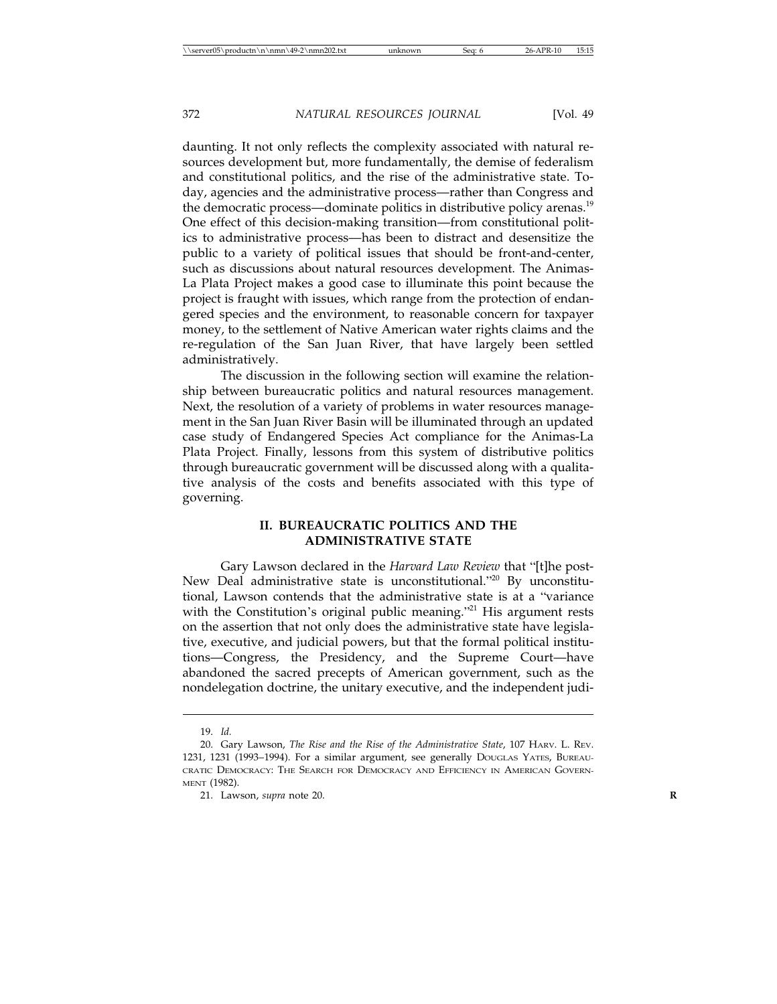daunting. It not only reflects the complexity associated with natural resources development but, more fundamentally, the demise of federalism and constitutional politics, and the rise of the administrative state. Today, agencies and the administrative process—rather than Congress and the democratic process—dominate politics in distributive policy arenas.<sup>19</sup> One effect of this decision-making transition—from constitutional politics to administrative process—has been to distract and desensitize the public to a variety of political issues that should be front-and-center, such as discussions about natural resources development. The Animas-La Plata Project makes a good case to illuminate this point because the project is fraught with issues, which range from the protection of endangered species and the environment, to reasonable concern for taxpayer money, to the settlement of Native American water rights claims and the re-regulation of the San Juan River, that have largely been settled administratively.

The discussion in the following section will examine the relationship between bureaucratic politics and natural resources management. Next, the resolution of a variety of problems in water resources management in the San Juan River Basin will be illuminated through an updated case study of Endangered Species Act compliance for the Animas-La Plata Project. Finally, lessons from this system of distributive politics through bureaucratic government will be discussed along with a qualitative analysis of the costs and benefits associated with this type of governing.

### **II. BUREAUCRATIC POLITICS AND THE ADMINISTRATIVE STATE**

Gary Lawson declared in the *Harvard Law Review* that "[t]he post-New Deal administrative state is unconstitutional."20 By unconstitutional, Lawson contends that the administrative state is at a "variance with the Constitution's original public meaning."<sup>21</sup> His argument rests on the assertion that not only does the administrative state have legislative, executive, and judicial powers, but that the formal political institutions—Congress, the Presidency, and the Supreme Court—have abandoned the sacred precepts of American government, such as the nondelegation doctrine, the unitary executive, and the independent judi-

<sup>19.</sup> *Id.*

<sup>20.</sup> Gary Lawson, *The Rise and the Rise of the Administrative State*, 107 HARV. L. REV. 1231, 1231 (1993–1994). For a similar argument, see generally DOUGLAS YATES, BUREAU-CRATIC DEMOCRACY: THE SEARCH FOR DEMOCRACY AND EFFICIENCY IN AMERICAN GOVERN-MENT (1982).

<sup>21.</sup> Lawson, *supra* note 20. **R**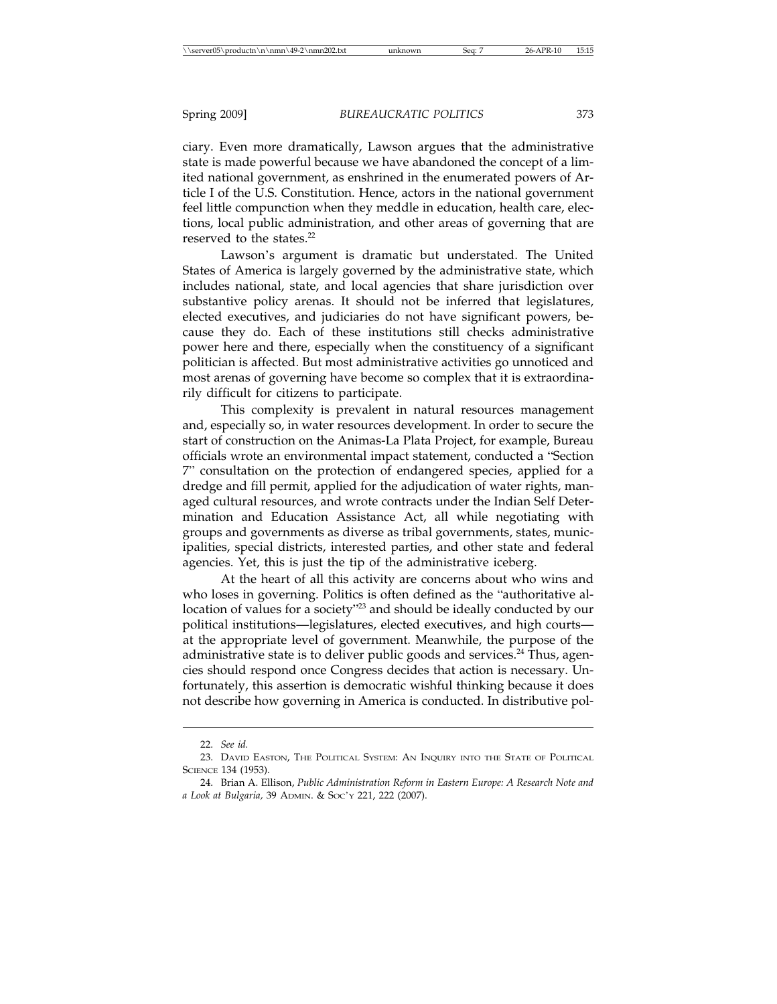ciary. Even more dramatically, Lawson argues that the administrative state is made powerful because we have abandoned the concept of a limited national government, as enshrined in the enumerated powers of Article I of the U.S. Constitution. Hence, actors in the national government feel little compunction when they meddle in education, health care, elections, local public administration, and other areas of governing that are reserved to the states.<sup>22</sup>

Lawson's argument is dramatic but understated. The United States of America is largely governed by the administrative state, which includes national, state, and local agencies that share jurisdiction over substantive policy arenas. It should not be inferred that legislatures, elected executives, and judiciaries do not have significant powers, because they do. Each of these institutions still checks administrative power here and there, especially when the constituency of a significant politician is affected. But most administrative activities go unnoticed and most arenas of governing have become so complex that it is extraordinarily difficult for citizens to participate.

This complexity is prevalent in natural resources management and, especially so, in water resources development. In order to secure the start of construction on the Animas-La Plata Project, for example, Bureau officials wrote an environmental impact statement, conducted a "Section 7" consultation on the protection of endangered species, applied for a dredge and fill permit, applied for the adjudication of water rights, managed cultural resources, and wrote contracts under the Indian Self Determination and Education Assistance Act, all while negotiating with groups and governments as diverse as tribal governments, states, municipalities, special districts, interested parties, and other state and federal agencies. Yet, this is just the tip of the administrative iceberg.

At the heart of all this activity are concerns about who wins and who loses in governing. Politics is often defined as the "authoritative allocation of values for a society"<sup>23</sup> and should be ideally conducted by our political institutions—legislatures, elected executives, and high courts at the appropriate level of government. Meanwhile, the purpose of the administrative state is to deliver public goods and services. $^{24}$  Thus, agencies should respond once Congress decides that action is necessary. Unfortunately, this assertion is democratic wishful thinking because it does not describe how governing in America is conducted. In distributive pol-

<sup>22.</sup> *See id.*

<sup>23.</sup> DAVID EASTON, THE POLITICAL SYSTEM: AN INQUIRY INTO THE STATE OF POLITICAL SCIENCE 134 (1953).

<sup>24.</sup> Brian A. Ellison, *Public Administration Reform in Eastern Europe: A Research Note and a Look at Bulgaria,* 39 ADMIN. & SOC'Y 221, 222 (2007).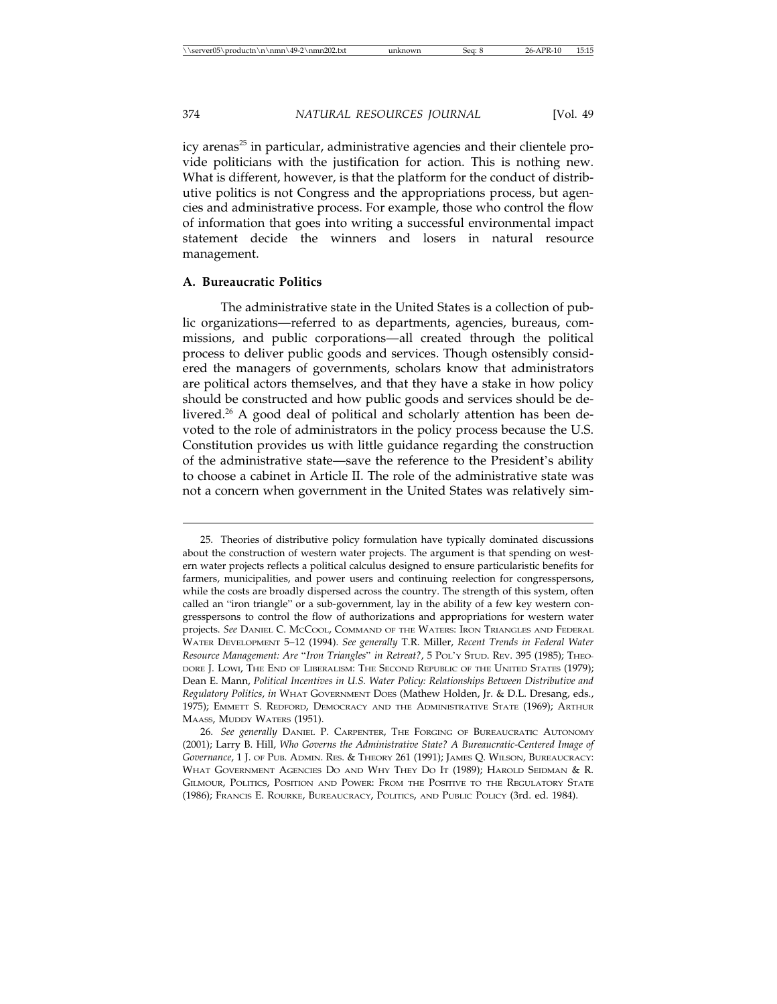icy arenas<sup>25</sup> in particular, administrative agencies and their clientele provide politicians with the justification for action. This is nothing new. What is different, however, is that the platform for the conduct of distributive politics is not Congress and the appropriations process, but agencies and administrative process. For example, those who control the flow of information that goes into writing a successful environmental impact statement decide the winners and losers in natural resource management.

#### **A. Bureaucratic Politics**

The administrative state in the United States is a collection of public organizations—referred to as departments, agencies, bureaus, commissions, and public corporations—all created through the political process to deliver public goods and services. Though ostensibly considered the managers of governments, scholars know that administrators are political actors themselves, and that they have a stake in how policy should be constructed and how public goods and services should be delivered.<sup>26</sup> A good deal of political and scholarly attention has been devoted to the role of administrators in the policy process because the U.S. Constitution provides us with little guidance regarding the construction of the administrative state—save the reference to the President's ability to choose a cabinet in Article II. The role of the administrative state was not a concern when government in the United States was relatively sim-

<sup>25.</sup> Theories of distributive policy formulation have typically dominated discussions about the construction of western water projects. The argument is that spending on western water projects reflects a political calculus designed to ensure particularistic benefits for farmers, municipalities, and power users and continuing reelection for congresspersons, while the costs are broadly dispersed across the country. The strength of this system, often called an "iron triangle" or a sub-government, lay in the ability of a few key western congresspersons to control the flow of authorizations and appropriations for western water projects. *See* DANIEL C. MCCOOL, COMMAND OF THE WATERS: IRON TRIANGLES AND FEDERAL WATER DEVELOPMENT 5–12 (1994). *See generally* T.R. Miller, *Recent Trends in Federal Water Resource Management: Are* "*Iron Triangles*" *in Retreat?*, 5 POL'Y STUD. REV. 395 (1985); THEO-DORE J. LOWI, THE END OF LIBERALISM: THE SECOND REPUBLIC OF THE UNITED STATES (1979); Dean E. Mann, *Political Incentives in U.S. Water Policy: Relationships Between Distributive and Regulatory Politics*, *in* WHAT GOVERNMENT DOES (Mathew Holden, Jr. & D.L. Dresang, eds., 1975); EMMETT S. REDFORD, DEMOCRACY AND THE ADMINISTRATIVE STATE (1969); ARTHUR MAASS, MUDDY WATERS (1951).

<sup>26.</sup> *See generally* DANIEL P. CARPENTER, THE FORGING OF BUREAUCRATIC AUTONOMY (2001); Larry B. Hill, *Who Governs the Administrative State? A Bureaucratic-Centered Image of Governance*, 1 J. OF PUB. ADMIN. RES. & THEORY 261 (1991); JAMES Q. WILSON, BUREAUCRACY: WHAT GOVERNMENT AGENCIES DO AND WHY THEY DO IT (1989); HAROLD SEIDMAN & R. GILMOUR, POLITICS, POSITION AND POWER: FROM THE POSITIVE TO THE REGULATORY STATE (1986); FRANCIS E. ROURKE, BUREAUCRACY, POLITICS, AND PUBLIC POLICY (3rd. ed. 1984).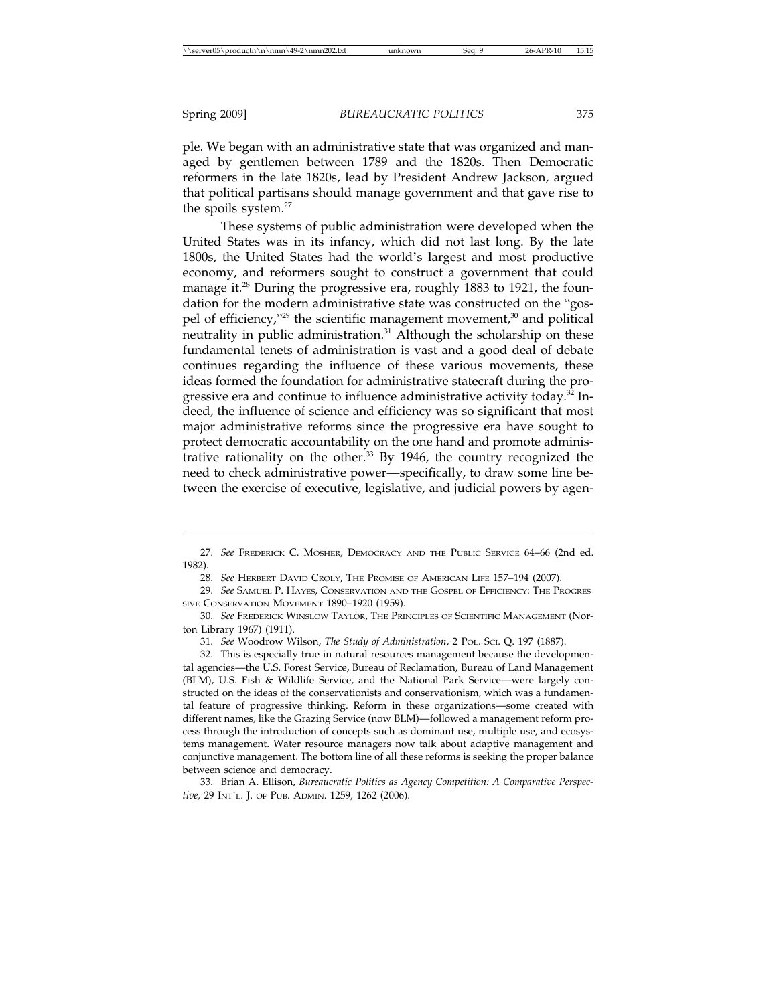ple. We began with an administrative state that was organized and managed by gentlemen between 1789 and the 1820s. Then Democratic reformers in the late 1820s, lead by President Andrew Jackson, argued that political partisans should manage government and that gave rise to the spoils system.<sup>27</sup>

These systems of public administration were developed when the United States was in its infancy, which did not last long. By the late 1800s, the United States had the world's largest and most productive economy, and reformers sought to construct a government that could manage it.<sup>28</sup> During the progressive era, roughly 1883 to 1921, the foundation for the modern administrative state was constructed on the "gospel of efficiency,"<sup>29</sup> the scientific management movement,<sup>30</sup> and political neutrality in public administration.<sup>31</sup> Although the scholarship on these fundamental tenets of administration is vast and a good deal of debate continues regarding the influence of these various movements, these ideas formed the foundation for administrative statecraft during the progressive era and continue to influence administrative activity today.<sup>32</sup> Indeed, the influence of science and efficiency was so significant that most major administrative reforms since the progressive era have sought to protect democratic accountability on the one hand and promote administrative rationality on the other. $33$  By 1946, the country recognized the need to check administrative power—specifically, to draw some line between the exercise of executive, legislative, and judicial powers by agen-

33. Brian A. Ellison, *Bureaucratic Politics as Agency Competition: A Comparative Perspective,* 29 INT'L. J. OF PUB. ADMIN. 1259, 1262 (2006).

<sup>27.</sup> *See* FREDERICK C. MOSHER, DEMOCRACY AND THE PUBLIC SERVICE 64–66 (2nd ed. 1982).

<sup>28.</sup> *See* HERBERT DAVID CROLY, THE PROMISE OF AMERICAN LIFE 157–194 (2007).

<sup>29.</sup> *See* SAMUEL P. HAYES, CONSERVATION AND THE GOSPEL OF EFFICIENCY: THE PROGRES-SIVE CONSERVATION MOVEMENT 1890-1920 (1959).

<sup>30.</sup> *See* FREDERICK WINSLOW TAYLOR, THE PRINCIPLES OF SCIENTIFIC MANAGEMENT (Norton Library 1967) (1911).

<sup>31.</sup> *See* Woodrow Wilson, *The Study of Administration*, 2 POL. SCI. Q. 197 (1887).

<sup>32.</sup> This is especially true in natural resources management because the developmental agencies—the U.S. Forest Service, Bureau of Reclamation, Bureau of Land Management (BLM), U.S. Fish & Wildlife Service, and the National Park Service—were largely constructed on the ideas of the conservationists and conservationism, which was a fundamental feature of progressive thinking. Reform in these organizations—some created with different names, like the Grazing Service (now BLM)—followed a management reform process through the introduction of concepts such as dominant use, multiple use, and ecosystems management. Water resource managers now talk about adaptive management and conjunctive management. The bottom line of all these reforms is seeking the proper balance between science and democracy.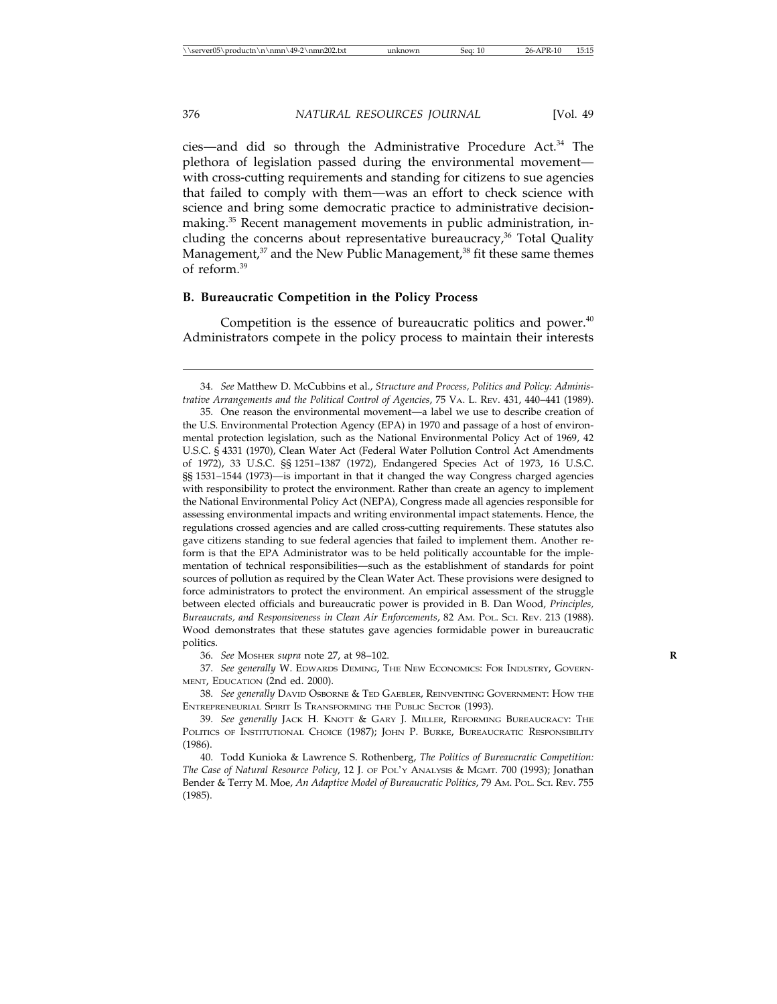cies—and did so through the Administrative Procedure Act.34 The plethora of legislation passed during the environmental movement with cross-cutting requirements and standing for citizens to sue agencies that failed to comply with them—was an effort to check science with science and bring some democratic practice to administrative decisionmaking.<sup>35</sup> Recent management movements in public administration, including the concerns about representative bureaucracy,<sup>36</sup> Total Quality Management, $37$  and the New Public Management, $38$  fit these same themes of reform<sup>39</sup>

#### **B. Bureaucratic Competition in the Policy Process**

Competition is the essence of bureaucratic politics and power. $40$ Administrators compete in the policy process to maintain their interests

36. *See* MOSHER *supra* note 27, at 98–102. **R**

37. *See generally* W. EDWARDS DEMING, THE NEW ECONOMICS: FOR INDUSTRY, GOVERN-MENT, EDUCATION (2nd ed. 2000).

38. *See generally* DAVID OSBORNE & TED GAEBLER, REINVENTING GOVERNMENT: HOW THE ENTREPRENEURIAL SPIRIT IS TRANSFORMING THE PUBLIC SECTOR (1993).

40. Todd Kunioka & Lawrence S. Rothenberg, *The Politics of Bureaucratic Competition: The Case of Natural Resource Policy*, 12 J. OF POL'Y ANALYSIS & MGMT. 700 (1993); Jonathan Bender & Terry M. Moe, *An Adaptive Model of Bureaucratic Politics*, 79 AM. POL. SCI. REV. 755 (1985).

<sup>34.</sup> *See* Matthew D. McCubbins et al., *Structure and Process, Politics and Policy: Administrative Arrangements and the Political Control of Agencies*, 75 VA. L. REV. 431, 440–441 (1989).

<sup>35.</sup> One reason the environmental movement—a label we use to describe creation of the U.S. Environmental Protection Agency (EPA) in 1970 and passage of a host of environmental protection legislation, such as the National Environmental Policy Act of 1969, 42 U.S.C. § 4331 (1970), Clean Water Act (Federal Water Pollution Control Act Amendments of 1972), 33 U.S.C. §§ 1251–1387 (1972), Endangered Species Act of 1973, 16 U.S.C. §§ 1531–1544 (1973)—is important in that it changed the way Congress charged agencies with responsibility to protect the environment. Rather than create an agency to implement the National Environmental Policy Act (NEPA), Congress made all agencies responsible for assessing environmental impacts and writing environmental impact statements. Hence, the regulations crossed agencies and are called cross-cutting requirements. These statutes also gave citizens standing to sue federal agencies that failed to implement them. Another reform is that the EPA Administrator was to be held politically accountable for the implementation of technical responsibilities—such as the establishment of standards for point sources of pollution as required by the Clean Water Act. These provisions were designed to force administrators to protect the environment. An empirical assessment of the struggle between elected officials and bureaucratic power is provided in B. Dan Wood, *Principles, Bureaucrats, and Responsiveness in Clean Air Enforcements*, 82 AM. POL. SCI. REV. 213 (1988). Wood demonstrates that these statutes gave agencies formidable power in bureaucratic politics.

<sup>39.</sup> *See generally* JACK H. KNOTT & GARY J. MILLER, REFORMING BUREAUCRACY: THE POLITICS OF INSTITUTIONAL CHOICE (1987); JOHN P. BURKE, BUREAUCRATIC RESPONSIBILITY (1986).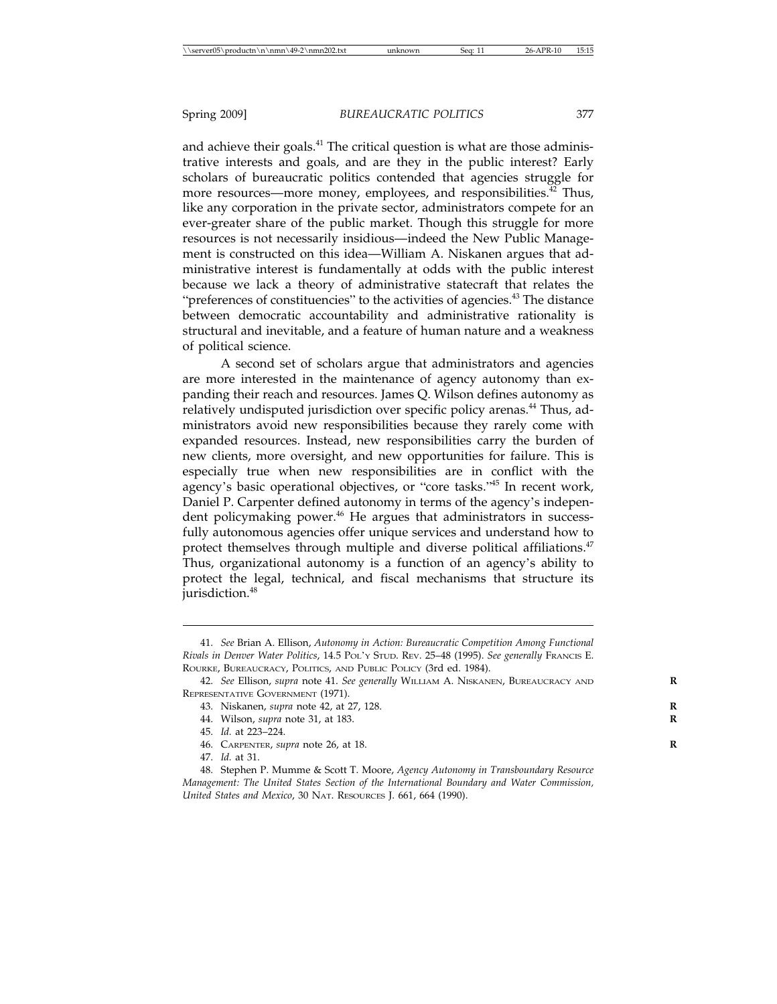and achieve their goals.<sup>41</sup> The critical question is what are those administrative interests and goals, and are they in the public interest? Early scholars of bureaucratic politics contended that agencies struggle for more resources—more money, employees, and responsibilities.<sup>42</sup> Thus, like any corporation in the private sector, administrators compete for an ever-greater share of the public market. Though this struggle for more resources is not necessarily insidious—indeed the New Public Management is constructed on this idea—William A. Niskanen argues that administrative interest is fundamentally at odds with the public interest because we lack a theory of administrative statecraft that relates the "preferences of constituencies" to the activities of agencies.<sup>43</sup> The distance between democratic accountability and administrative rationality is structural and inevitable, and a feature of human nature and a weakness of political science.

A second set of scholars argue that administrators and agencies are more interested in the maintenance of agency autonomy than expanding their reach and resources. James Q. Wilson defines autonomy as relatively undisputed jurisdiction over specific policy arenas.<sup>44</sup> Thus, administrators avoid new responsibilities because they rarely come with expanded resources. Instead, new responsibilities carry the burden of new clients, more oversight, and new opportunities for failure. This is especially true when new responsibilities are in conflict with the agency's basic operational objectives, or "core tasks."45 In recent work, Daniel P. Carpenter defined autonomy in terms of the agency's independent policymaking power.<sup>46</sup> He argues that administrators in successfully autonomous agencies offer unique services and understand how to protect themselves through multiple and diverse political affiliations.<sup>47</sup> Thus, organizational autonomy is a function of an agency's ability to protect the legal, technical, and fiscal mechanisms that structure its jurisdiction.<sup>48</sup>

<sup>41.</sup> *See* Brian A. Ellison, *Autonomy in Action: Bureaucratic Competition Among Functional Rivals in Denver Water Politics*, 14.5 POL'Y STUD. REV. 25–48 (1995). *See generally* FRANCIS E. ROURKE, BUREAUCRACY, POLITICS, AND PUBLIC POLICY (3rd ed. 1984).

<sup>42.</sup> *See* Ellison, *supra* note 41. *See generally* WILLIAM A. NISKANEN, BUREAUCRACY AND **R** REPRESENTATIVE GOVERNMENT (1971).

<sup>43.</sup> Niskanen, *supra* note 42, at 27, 128. **R**

<sup>44.</sup> Wilson, *supra* note 31, at 183. **R**

<sup>45.</sup> *Id.* at 223–224.

<sup>46.</sup> CARPENTER, *supra* note 26, at 18. **R**

<sup>47.</sup> *Id.* at 31.

<sup>48.</sup> Stephen P. Mumme & Scott T. Moore, *Agency Autonomy in Transboundary Resource Management: The United States Section of the International Boundary and Water Commission, United States and Mexico*, 30 NAT. RESOURCES J. 661, 664 (1990).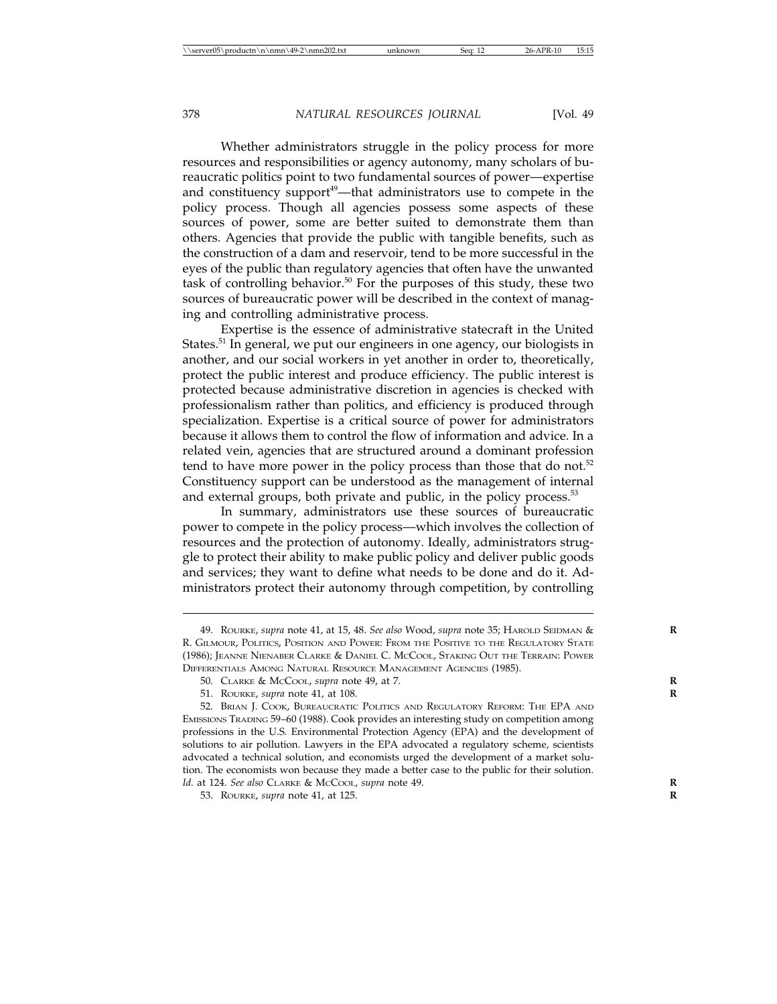Whether administrators struggle in the policy process for more resources and responsibilities or agency autonomy, many scholars of bureaucratic politics point to two fundamental sources of power—expertise and constituency support<sup>49</sup>—that administrators use to compete in the policy process. Though all agencies possess some aspects of these sources of power, some are better suited to demonstrate them than others. Agencies that provide the public with tangible benefits, such as the construction of a dam and reservoir, tend to be more successful in the eyes of the public than regulatory agencies that often have the unwanted task of controlling behavior.<sup>50</sup> For the purposes of this study, these two sources of bureaucratic power will be described in the context of managing and controlling administrative process.

Expertise is the essence of administrative statecraft in the United States.<sup>51</sup> In general, we put our engineers in one agency, our biologists in another, and our social workers in yet another in order to, theoretically, protect the public interest and produce efficiency. The public interest is protected because administrative discretion in agencies is checked with professionalism rather than politics, and efficiency is produced through specialization. Expertise is a critical source of power for administrators because it allows them to control the flow of information and advice. In a related vein, agencies that are structured around a dominant profession tend to have more power in the policy process than those that do not.<sup>52</sup> Constituency support can be understood as the management of internal and external groups, both private and public, in the policy process.<sup>53</sup>

In summary, administrators use these sources of bureaucratic power to compete in the policy process—which involves the collection of resources and the protection of autonomy. Ideally, administrators struggle to protect their ability to make public policy and deliver public goods and services; they want to define what needs to be done and do it. Administrators protect their autonomy through competition, by controlling

53. ROURKE, *supra* note 41, at 125. **R**

<sup>49.</sup> ROURKE, *supra* note 41, at 15, 48. *See also* Wood, *supra* note 35; HAROLD SEIDMAN & **R** R. GILMOUR, POLITICS, POSITION AND POWER: FROM THE POSITIVE TO THE REGULATORY STATE (1986); JEANNE NIENABER CLARKE & DANIEL C. MCCOOL, STAKING OUT THE TERRAIN: POWER DIFFERENTIALS AMONG NATURAL RESOURCE MANAGEMENT AGENCIES (1985).

<sup>50.</sup> CLARKE & MCCOOL, *supra* note 49, at 7. **R**

<sup>51.</sup> ROURKE, *supra* note 41, at 108. **R**

<sup>52.</sup> BRIAN J. COOK, BUREAUCRATIC POLITICS AND REGULATORY REFORM: THE EPA AND EMISSIONS TRADING 59–60 (1988). Cook provides an interesting study on competition among professions in the U.S. Environmental Protection Agency (EPA) and the development of solutions to air pollution. Lawyers in the EPA advocated a regulatory scheme, scientists advocated a technical solution, and economists urged the development of a market solution. The economists won because they made a better case to the public for their solution. *Id.* at 124. *See also* CLARKE & MCCOOL, *supra* note 49. **R**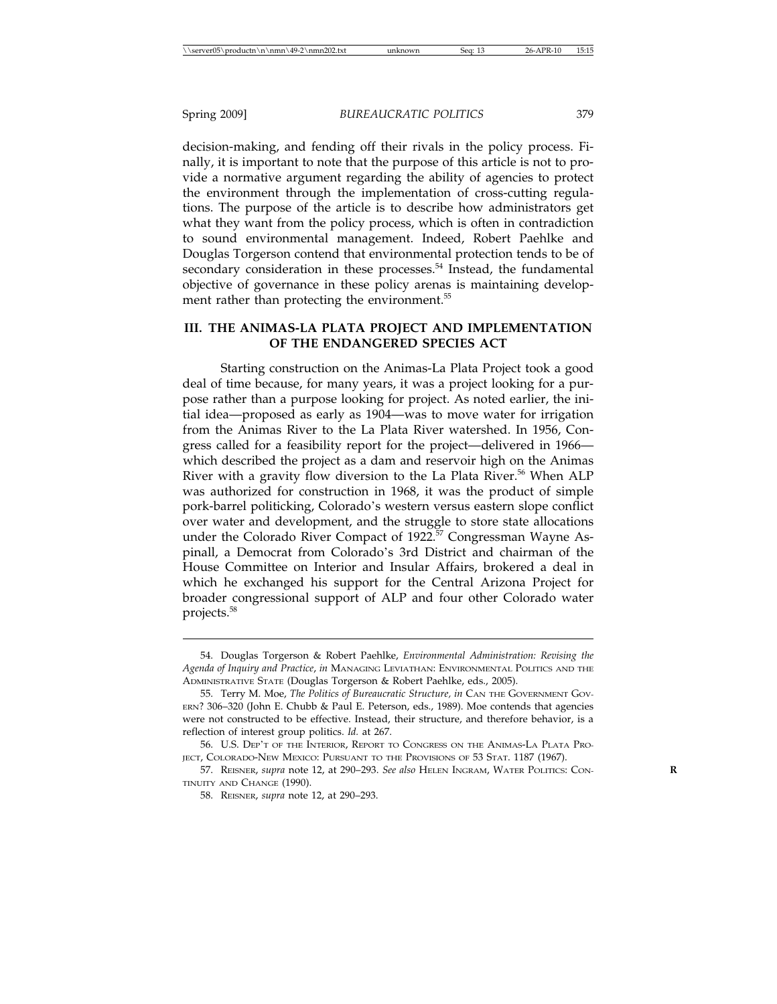decision-making, and fending off their rivals in the policy process. Finally, it is important to note that the purpose of this article is not to provide a normative argument regarding the ability of agencies to protect the environment through the implementation of cross-cutting regulations. The purpose of the article is to describe how administrators get what they want from the policy process, which is often in contradiction to sound environmental management. Indeed, Robert Paehlke and Douglas Torgerson contend that environmental protection tends to be of secondary consideration in these processes.<sup>54</sup> Instead, the fundamental objective of governance in these policy arenas is maintaining development rather than protecting the environment.<sup>55</sup>

#### **III. THE ANIMAS-LA PLATA PROJECT AND IMPLEMENTATION OF THE ENDANGERED SPECIES ACT**

Starting construction on the Animas-La Plata Project took a good deal of time because, for many years, it was a project looking for a purpose rather than a purpose looking for project. As noted earlier, the initial idea—proposed as early as 1904—was to move water for irrigation from the Animas River to the La Plata River watershed. In 1956, Congress called for a feasibility report for the project—delivered in 1966 which described the project as a dam and reservoir high on the Animas River with a gravity flow diversion to the La Plata River.<sup>56</sup> When ALP was authorized for construction in 1968, it was the product of simple pork-barrel politicking, Colorado's western versus eastern slope conflict over water and development, and the struggle to store state allocations under the Colorado River Compact of 1922.<sup>57</sup> Congressman Wayne Aspinall, a Democrat from Colorado's 3rd District and chairman of the House Committee on Interior and Insular Affairs, brokered a deal in which he exchanged his support for the Central Arizona Project for broader congressional support of ALP and four other Colorado water projects.<sup>58</sup>

<sup>54.</sup> Douglas Torgerson & Robert Paehlke, *Environmental Administration: Revising the Agenda of Inquiry and Practice*, *in* MANAGING LEVIATHAN: ENVIRONMENTAL POLITICS AND THE ADMINISTRATIVE STATE (Douglas Torgerson & Robert Paehlke, eds., 2005).

<sup>55.</sup> Terry M. Moe, *The Politics of Bureaucratic Structure, in* CAN THE GOVERNMENT GOV-ERN? 306–320 (John E. Chubb & Paul E. Peterson, eds., 1989). Moe contends that agencies were not constructed to be effective. Instead, their structure, and therefore behavior, is a reflection of interest group politics. *Id.* at 267.

<sup>56.</sup> U.S. DEP'T OF THE INTERIOR, REPORT TO CONGRESS ON THE ANIMAS-LA PLATA PRO-JECT, COLORADO-NEW MEXICO: PURSUANT TO THE PROVISIONS OF 53 STAT. 1187 (1967).

<sup>57.</sup> REISNER, *supra* note 12, at 290–293. *See also* HELEN INGRAM, WATER POLITICS: CON- **R** TINUITY AND CHANGE (1990).

<sup>58.</sup> REISNER, *supra* note 12, at 290–293.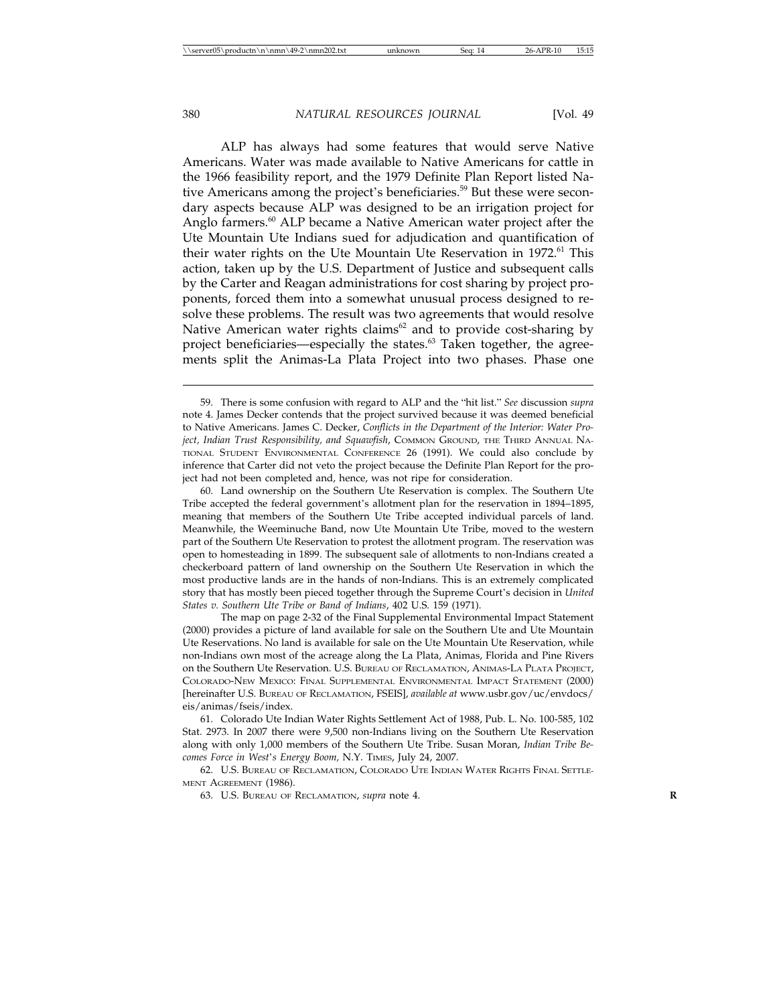ALP has always had some features that would serve Native Americans. Water was made available to Native Americans for cattle in the 1966 feasibility report, and the 1979 Definite Plan Report listed Native Americans among the project's beneficiaries.<sup>59</sup> But these were secondary aspects because ALP was designed to be an irrigation project for Anglo farmers.<sup>60</sup> ALP became a Native American water project after the Ute Mountain Ute Indians sued for adjudication and quantification of their water rights on the Ute Mountain Ute Reservation in 1972.<sup>61</sup> This action, taken up by the U.S. Department of Justice and subsequent calls by the Carter and Reagan administrations for cost sharing by project proponents, forced them into a somewhat unusual process designed to resolve these problems. The result was two agreements that would resolve Native American water rights claims<sup>62</sup> and to provide cost-sharing by project beneficiaries—especially the states. $63$  Taken together, the agreements split the Animas-La Plata Project into two phases. Phase one

The map on page 2-32 of the Final Supplemental Environmental Impact Statement (2000) provides a picture of land available for sale on the Southern Ute and Ute Mountain Ute Reservations. No land is available for sale on the Ute Mountain Ute Reservation, while non-Indians own most of the acreage along the La Plata, Animas, Florida and Pine Rivers on the Southern Ute Reservation. U.S. BUREAU OF RECLAMATION, ANIMAS-LA PLATA PROJECT, COLORADO-NEW MEXICO: FINAL SUPPLEMENTAL ENVIRONMENTAL IMPACT STATEMENT (2000) [hereinafter U.S. BUREAU OF RECLAMATION, FSEIS], *available at* www.usbr.gov/uc/envdocs/ eis/animas/fseis/index.

61. Colorado Ute Indian Water Rights Settlement Act of 1988, Pub. L. No. 100-585, 102 Stat. 2973. In 2007 there were 9,500 non-Indians living on the Southern Ute Reservation along with only 1,000 members of the Southern Ute Tribe. Susan Moran, *Indian Tribe Becomes Force in West*'*s Energy Boom,* N.Y. TIMES, July 24, 2007.

62. U.S. BUREAU OF RECLAMATION, COLORADO UTE INDIAN WATER RIGHTS FINAL SETTLE-MENT AGREEMENT (1986).

63. U.S. BUREAU OF RECLAMATION, *supra* note 4. **R**

<sup>59.</sup> There is some confusion with regard to ALP and the "hit list." *See* discussion *supra* note 4. James Decker contends that the project survived because it was deemed beneficial to Native Americans. James C. Decker, *Conflicts in the Department of the Interior: Water Project, Indian Trust Responsibility, and Squawfish*, COMMON GROUND, THE THIRD ANNUAL NA-TIONAL STUDENT ENVIRONMENTAL CONFERENCE 26 (1991). We could also conclude by inference that Carter did not veto the project because the Definite Plan Report for the project had not been completed and, hence, was not ripe for consideration.

<sup>60.</sup> Land ownership on the Southern Ute Reservation is complex. The Southern Ute Tribe accepted the federal government's allotment plan for the reservation in 1894–1895, meaning that members of the Southern Ute Tribe accepted individual parcels of land. Meanwhile, the Weeminuche Band, now Ute Mountain Ute Tribe, moved to the western part of the Southern Ute Reservation to protest the allotment program. The reservation was open to homesteading in 1899. The subsequent sale of allotments to non-Indians created a checkerboard pattern of land ownership on the Southern Ute Reservation in which the most productive lands are in the hands of non-Indians. This is an extremely complicated story that has mostly been pieced together through the Supreme Court's decision in *United States v. Southern Ute Tribe or Band of Indians*, 402 U.S. 159 (1971).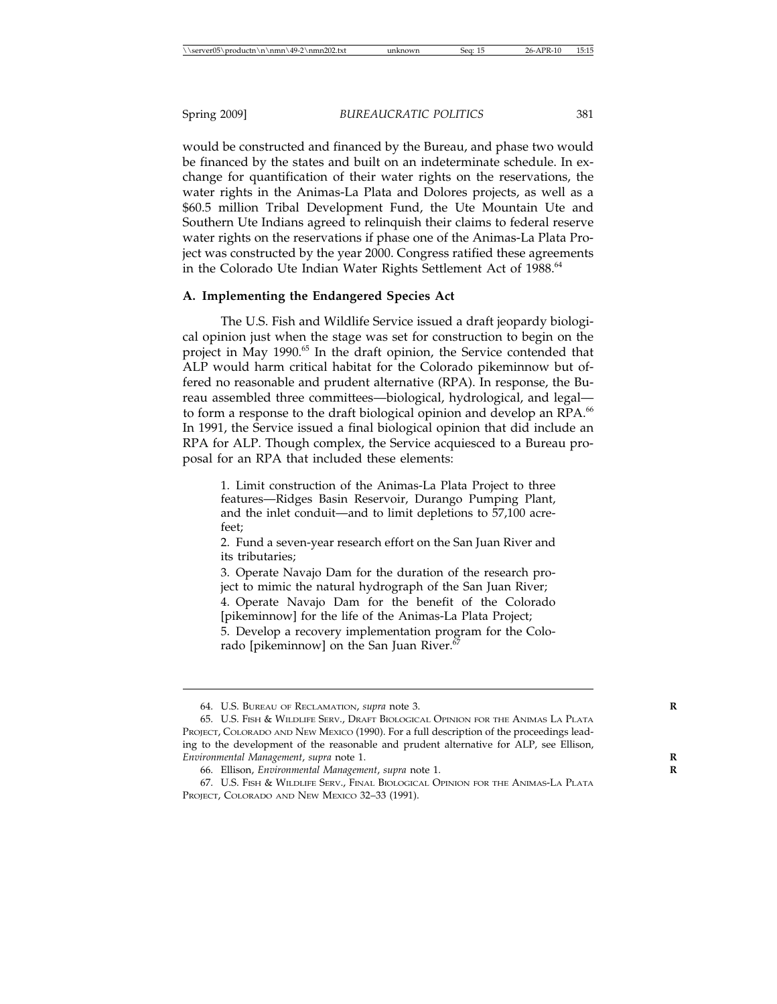would be constructed and financed by the Bureau, and phase two would be financed by the states and built on an indeterminate schedule. In exchange for quantification of their water rights on the reservations, the water rights in the Animas-La Plata and Dolores projects, as well as a \$60.5 million Tribal Development Fund, the Ute Mountain Ute and Southern Ute Indians agreed to relinquish their claims to federal reserve water rights on the reservations if phase one of the Animas-La Plata Project was constructed by the year 2000. Congress ratified these agreements in the Colorado Ute Indian Water Rights Settlement Act of 1988.<sup>64</sup>

#### **A. Implementing the Endangered Species Act**

The U.S. Fish and Wildlife Service issued a draft jeopardy biological opinion just when the stage was set for construction to begin on the project in May 1990.<sup>65</sup> In the draft opinion, the Service contended that ALP would harm critical habitat for the Colorado pikeminnow but offered no reasonable and prudent alternative (RPA). In response, the Bureau assembled three committees—biological, hydrological, and legal to form a response to the draft biological opinion and develop an RPA.<sup>66</sup> In 1991, the Service issued a final biological opinion that did include an RPA for ALP. Though complex, the Service acquiesced to a Bureau proposal for an RPA that included these elements:

1. Limit construction of the Animas-La Plata Project to three features—Ridges Basin Reservoir, Durango Pumping Plant, and the inlet conduit—and to limit depletions to 57,100 acrefeet;

2. Fund a seven-year research effort on the San Juan River and its tributaries;

3. Operate Navajo Dam for the duration of the research project to mimic the natural hydrograph of the San Juan River; 4. Operate Navajo Dam for the benefit of the Colorado [pikeminnow] for the life of the Animas-La Plata Project; 5. Develop a recovery implementation program for the Colorado [pikeminnow] on the San Juan River. $67$ 

<sup>64.</sup> U.S. BUREAU OF RECLAMATION, *supra* note 3. **R**

<sup>65.</sup> U.S. FISH & WILDLIFE SERV., DRAFT BIOLOGICAL OPINION FOR THE ANIMAS LA PLATA PROJECT, COLORADO AND NEW MEXICO (1990). For a full description of the proceedings leading to the development of the reasonable and prudent alternative for ALP, see Ellison, *Environmental Management*, *supra* note 1. **R**

<sup>66.</sup> Ellison, *Environmental Management*, *supra* note 1. **R**

<sup>67.</sup> U.S. FISH & WILDLIFE SERV., FINAL BIOLOGICAL OPINION FOR THE ANIMAS-LA PLATA PROJECT, COLORADO AND NEW MEXICO 32–33 (1991).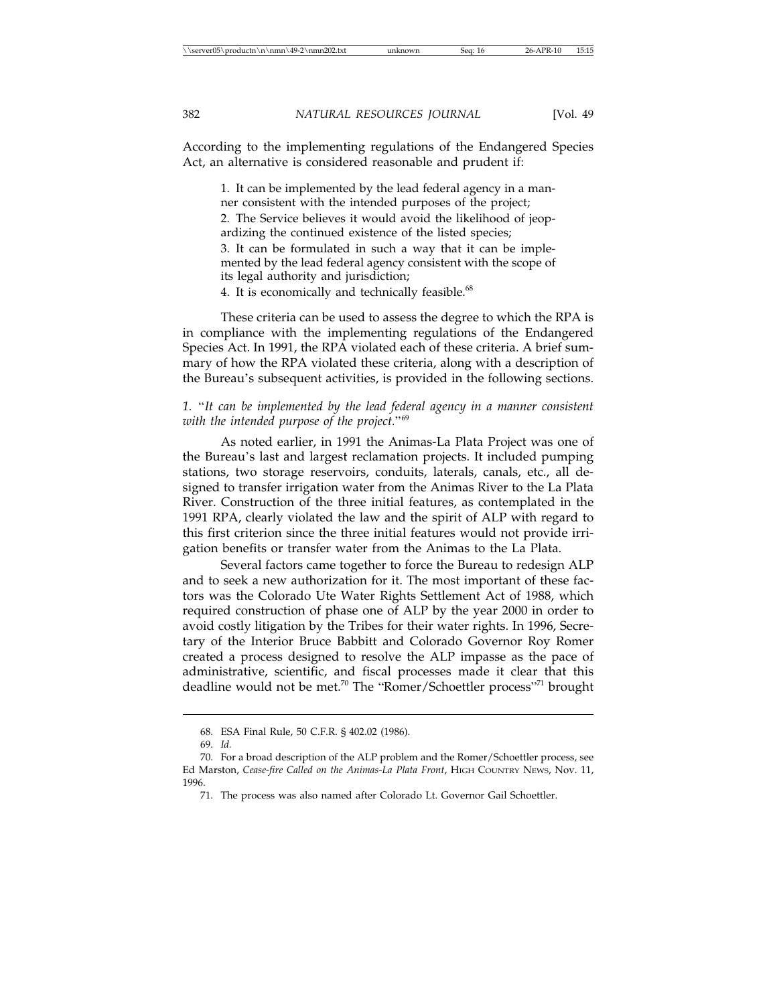According to the implementing regulations of the Endangered Species Act, an alternative is considered reasonable and prudent if:

1. It can be implemented by the lead federal agency in a manner consistent with the intended purposes of the project; 2. The Service believes it would avoid the likelihood of jeopardizing the continued existence of the listed species; 3. It can be formulated in such a way that it can be implemented by the lead federal agency consistent with the scope of its legal authority and jurisdiction; 4. It is economically and technically feasible.<sup>68</sup>

These criteria can be used to assess the degree to which the RPA is in compliance with the implementing regulations of the Endangered Species Act. In 1991, the RPA violated each of these criteria. A brief summary of how the RPA violated these criteria, along with a description of the Bureau's subsequent activities, is provided in the following sections.

*1.* "*It can be implemented by the lead federal agency in a manner consistent with the intended purpose of the project.*"<sup>69</sup>

As noted earlier, in 1991 the Animas-La Plata Project was one of the Bureau's last and largest reclamation projects. It included pumping stations, two storage reservoirs, conduits, laterals, canals, etc., all designed to transfer irrigation water from the Animas River to the La Plata River. Construction of the three initial features, as contemplated in the 1991 RPA, clearly violated the law and the spirit of ALP with regard to this first criterion since the three initial features would not provide irrigation benefits or transfer water from the Animas to the La Plata.

Several factors came together to force the Bureau to redesign ALP and to seek a new authorization for it. The most important of these factors was the Colorado Ute Water Rights Settlement Act of 1988, which required construction of phase one of ALP by the year 2000 in order to avoid costly litigation by the Tribes for their water rights. In 1996, Secretary of the Interior Bruce Babbitt and Colorado Governor Roy Romer created a process designed to resolve the ALP impasse as the pace of administrative, scientific, and fiscal processes made it clear that this deadline would not be met.<sup>70</sup> The "Romer/Schoettler process"<sup>71</sup> brought

<sup>68.</sup> ESA Final Rule, 50 C.F.R. § 402.02 (1986).

<sup>69.</sup> *Id.*

<sup>70.</sup> For a broad description of the ALP problem and the Romer/Schoettler process, see Ed Marston, *Cease-fire Called on the Animas-La Plata Front*, HIGH COUNTRY NEWS, Nov. 11, 1996.

<sup>71.</sup> The process was also named after Colorado Lt. Governor Gail Schoettler.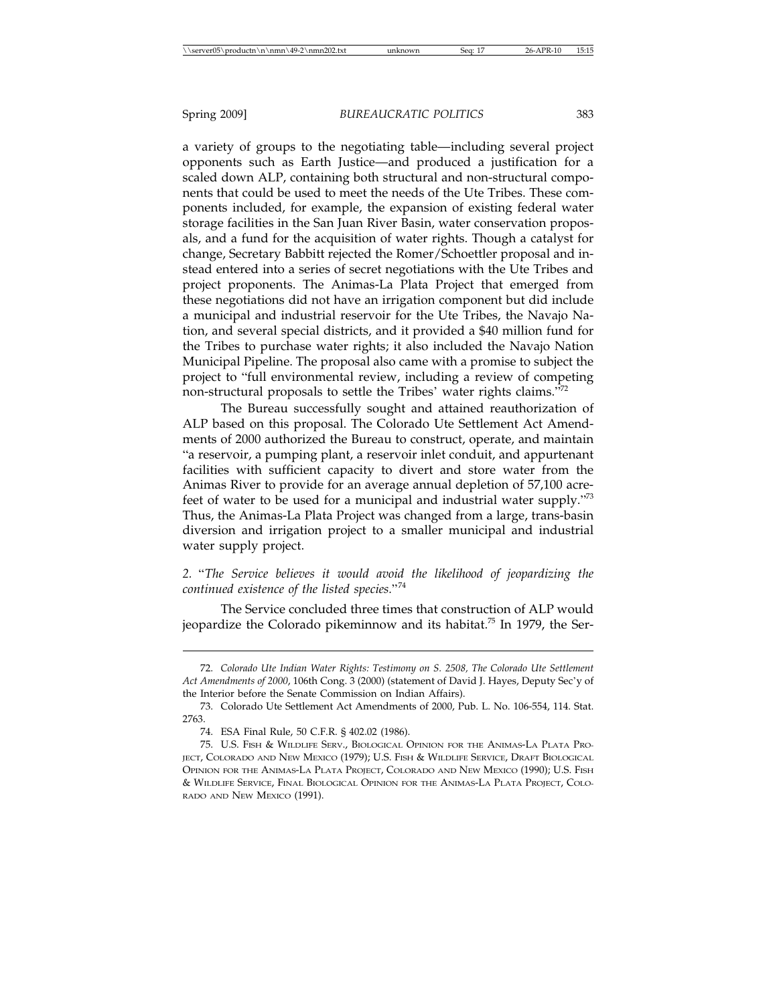a variety of groups to the negotiating table—including several project opponents such as Earth Justice—and produced a justification for a scaled down ALP, containing both structural and non-structural components that could be used to meet the needs of the Ute Tribes. These components included, for example, the expansion of existing federal water storage facilities in the San Juan River Basin, water conservation proposals, and a fund for the acquisition of water rights. Though a catalyst for change, Secretary Babbitt rejected the Romer/Schoettler proposal and instead entered into a series of secret negotiations with the Ute Tribes and project proponents. The Animas-La Plata Project that emerged from these negotiations did not have an irrigation component but did include a municipal and industrial reservoir for the Ute Tribes, the Navajo Nation, and several special districts, and it provided a \$40 million fund for the Tribes to purchase water rights; it also included the Navajo Nation Municipal Pipeline. The proposal also came with a promise to subject the project to "full environmental review, including a review of competing non-structural proposals to settle the Tribes' water rights claims."<sup>72</sup>

The Bureau successfully sought and attained reauthorization of ALP based on this proposal. The Colorado Ute Settlement Act Amendments of 2000 authorized the Bureau to construct, operate, and maintain "a reservoir, a pumping plant, a reservoir inlet conduit, and appurtenant facilities with sufficient capacity to divert and store water from the Animas River to provide for an average annual depletion of 57,100 acrefeet of water to be used for a municipal and industrial water supply."<sup>73</sup> Thus, the Animas-La Plata Project was changed from a large, trans-basin diversion and irrigation project to a smaller municipal and industrial water supply project.

*2.* "*The Service believes it would avoid the likelihood of jeopardizing the continued existence of the listed species.*"<sup>74</sup>

The Service concluded three times that construction of ALP would jeopardize the Colorado pikeminnow and its habitat.<sup>75</sup> In 1979, the Ser-

<sup>72.</sup> *Colorado Ute Indian Water Rights: Testimony on S. 2508, The Colorado Ute Settlement Act Amendments of 2000*, 106th Cong. 3 (2000) (statement of David J. Hayes, Deputy Sec'y of the Interior before the Senate Commission on Indian Affairs).

<sup>73.</sup> Colorado Ute Settlement Act Amendments of 2000, Pub. L. No. 106-554, 114. Stat. 2763.

<sup>74.</sup> ESA Final Rule, 50 C.F.R. § 402.02 (1986).

<sup>75.</sup> U.S. FISH & WILDLIFE SERV., BIOLOGICAL OPINION FOR THE ANIMAS-LA PLATA PRO-JECT, COLORADO AND NEW MEXICO (1979); U.S. FISH & WILDLIFE SERVICE, DRAFT BIOLOGICAL OPINION FOR THE ANIMAS-LA PLATA PROJECT, COLORADO AND NEW MEXICO (1990); U.S. FISH & WILDLIFE SERVICE, FINAL BIOLOGICAL OPINION FOR THE ANIMAS-LA PLATA PROJECT, COLO-RADO AND NEW MEXICO (1991).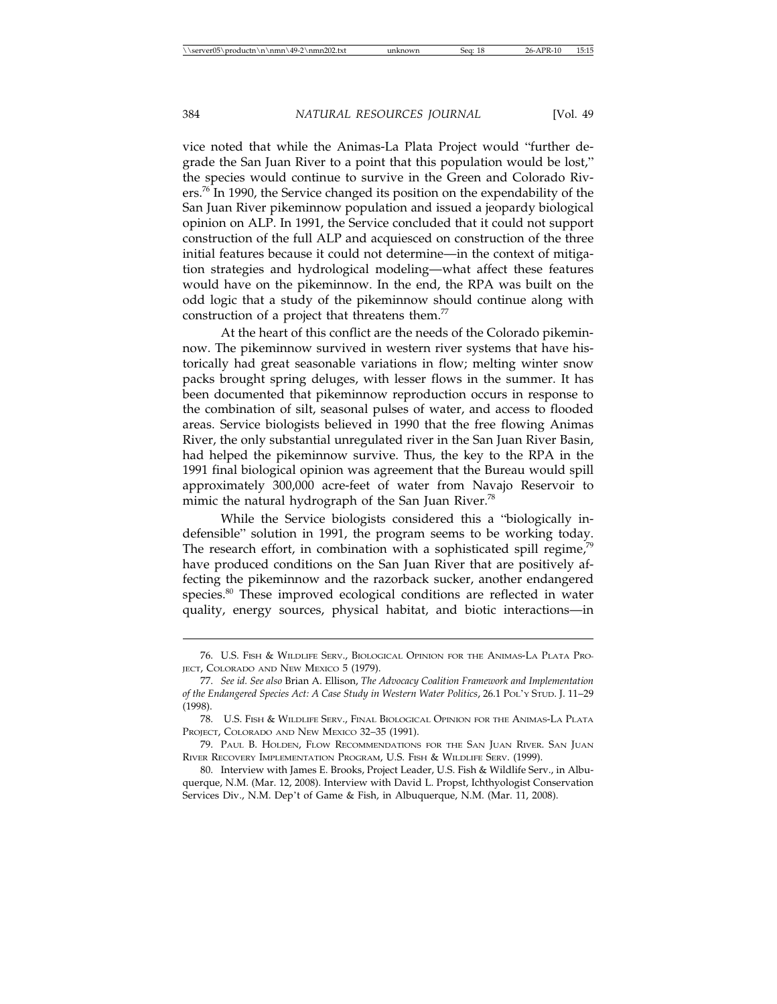vice noted that while the Animas-La Plata Project would "further degrade the San Juan River to a point that this population would be lost," the species would continue to survive in the Green and Colorado Rivers.<sup>76</sup> In 1990, the Service changed its position on the expendability of the San Juan River pikeminnow population and issued a jeopardy biological opinion on ALP. In 1991, the Service concluded that it could not support construction of the full ALP and acquiesced on construction of the three initial features because it could not determine—in the context of mitigation strategies and hydrological modeling—what affect these features would have on the pikeminnow. In the end, the RPA was built on the odd logic that a study of the pikeminnow should continue along with construction of a project that threatens them.<sup>77</sup>

At the heart of this conflict are the needs of the Colorado pikeminnow. The pikeminnow survived in western river systems that have historically had great seasonable variations in flow; melting winter snow packs brought spring deluges, with lesser flows in the summer. It has been documented that pikeminnow reproduction occurs in response to the combination of silt, seasonal pulses of water, and access to flooded areas. Service biologists believed in 1990 that the free flowing Animas River, the only substantial unregulated river in the San Juan River Basin, had helped the pikeminnow survive. Thus, the key to the RPA in the 1991 final biological opinion was agreement that the Bureau would spill approximately 300,000 acre-feet of water from Navajo Reservoir to mimic the natural hydrograph of the San Juan River.<sup>78</sup>

While the Service biologists considered this a "biologically indefensible" solution in 1991, the program seems to be working today. The research effort, in combination with a sophisticated spill regime,<sup>7</sup> have produced conditions on the San Juan River that are positively affecting the pikeminnow and the razorback sucker, another endangered species.<sup>80</sup> These improved ecological conditions are reflected in water quality, energy sources, physical habitat, and biotic interactions—in

<sup>76.</sup> U.S. FISH & WILDLIFE SERV., BIOLOGICAL OPINION FOR THE ANIMAS-LA PLATA PRO-JECT, COLORADO AND NEW MEXICO 5 (1979).

<sup>77.</sup> *See id. See also* Brian A. Ellison, *The Advocacy Coalition Framework and Implementation of the Endangered Species Act: A Case Study in Western Water Politics*, 26.1 POL'Y STUD. J. 11–29 (1998).

<sup>78.</sup> U.S. FISH & WILDLIFE SERV., FINAL BIOLOGICAL OPINION FOR THE ANIMAS-LA PLATA PROJECT, COLORADO AND NEW MEXICO 32–35 (1991).

<sup>79.</sup> PAUL B. HOLDEN, FLOW RECOMMENDATIONS FOR THE SAN JUAN RIVER. SAN JUAN RIVER RECOVERY IMPLEMENTATION PROGRAM, U.S. FISH & WILDLIFE SERV. (1999).

<sup>80.</sup> Interview with James E. Brooks, Project Leader, U.S. Fish & Wildlife Serv., in Albuquerque, N.M. (Mar. 12, 2008). Interview with David L. Propst, Ichthyologist Conservation Services Div., N.M. Dep't of Game & Fish, in Albuquerque, N.M. (Mar. 11, 2008).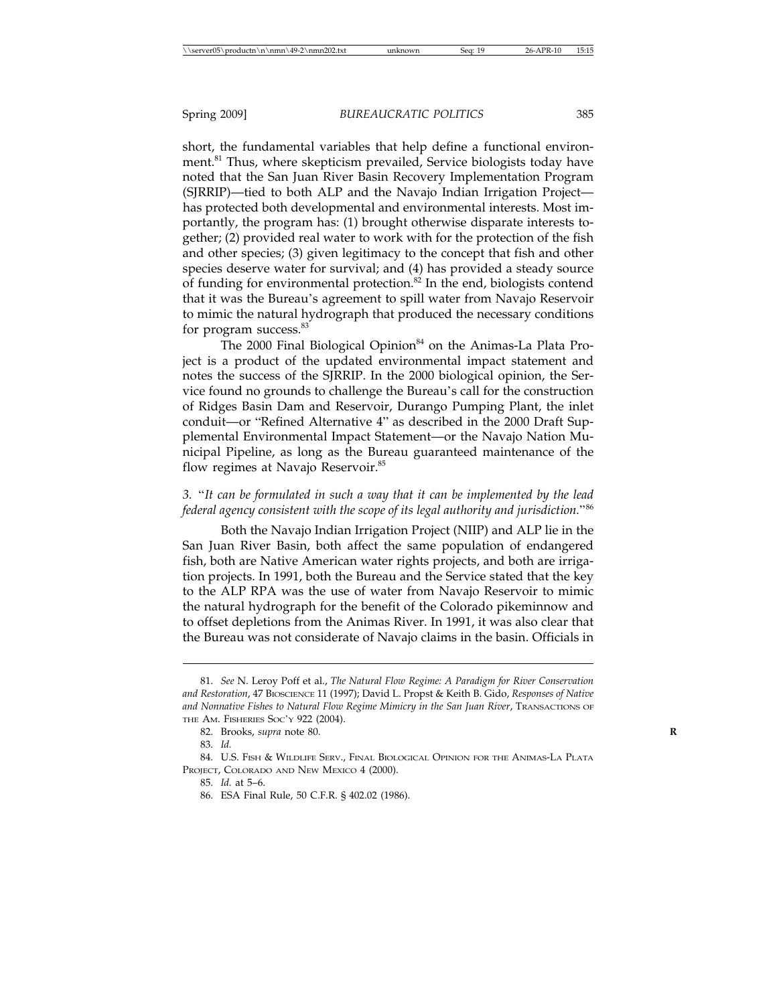short, the fundamental variables that help define a functional environment.<sup>81</sup> Thus, where skepticism prevailed, Service biologists today have noted that the San Juan River Basin Recovery Implementation Program (SJRRIP)—tied to both ALP and the Navajo Indian Irrigation Project has protected both developmental and environmental interests. Most importantly, the program has: (1) brought otherwise disparate interests together; (2) provided real water to work with for the protection of the fish and other species; (3) given legitimacy to the concept that fish and other species deserve water for survival; and (4) has provided a steady source of funding for environmental protection.<sup>82</sup> In the end, biologists contend that it was the Bureau's agreement to spill water from Navajo Reservoir to mimic the natural hydrograph that produced the necessary conditions for program success.<sup>83</sup>

The 2000 Final Biological Opinion<sup>84</sup> on the Animas-La Plata Project is a product of the updated environmental impact statement and notes the success of the SJRRIP. In the 2000 biological opinion, the Service found no grounds to challenge the Bureau's call for the construction of Ridges Basin Dam and Reservoir, Durango Pumping Plant, the inlet conduit—or "Refined Alternative 4" as described in the 2000 Draft Supplemental Environmental Impact Statement—or the Navajo Nation Municipal Pipeline, as long as the Bureau guaranteed maintenance of the flow regimes at Navajo Reservoir.<sup>85</sup>

# *3.* "*It can be formulated in such a way that it can be implemented by the lead federal agency consistent with the scope of its legal authority and jurisdiction.*"<sup>86</sup>

Both the Navajo Indian Irrigation Project (NIIP) and ALP lie in the San Juan River Basin, both affect the same population of endangered fish, both are Native American water rights projects, and both are irrigation projects. In 1991, both the Bureau and the Service stated that the key to the ALP RPA was the use of water from Navajo Reservoir to mimic the natural hydrograph for the benefit of the Colorado pikeminnow and to offset depletions from the Animas River. In 1991, it was also clear that the Bureau was not considerate of Navajo claims in the basin. Officials in

<sup>81.</sup> *See* N. Leroy Poff et al., *The Natural Flow Regime: A Paradigm for River Conservation and Restoration*, 47 BIOSCIENCE 11 (1997); David L. Propst & Keith B. Gido, *Responses of Native and Nonnative Fishes to Natural Flow Regime Mimicry in the San Juan River*, TRANSACTIONS OF THE AM. FISHERIES SOC'Y 922 (2004).

<sup>82.</sup> Brooks, *supra* note 80. **R**

<sup>83.</sup> *Id.*

<sup>84.</sup> U.S. FISH & WILDLIFE SERV., FINAL BIOLOGICAL OPINION FOR THE ANIMAS-LA PLATA PROJECT, COLORADO AND NEW MEXICO 4 (2000).

<sup>85.</sup> *Id.* at 5–6.

<sup>86.</sup> ESA Final Rule, 50 C.F.R. § 402.02 (1986).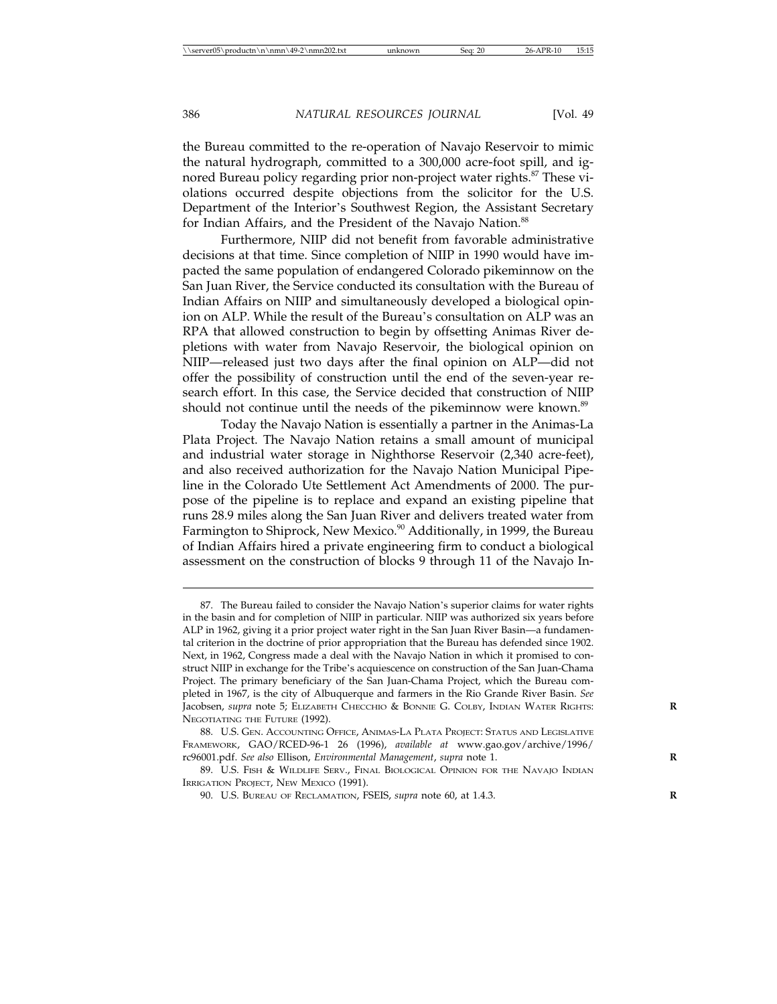the Bureau committed to the re-operation of Navajo Reservoir to mimic the natural hydrograph, committed to a 300,000 acre-foot spill, and ignored Bureau policy regarding prior non-project water rights.<sup>87</sup> These violations occurred despite objections from the solicitor for the U.S. Department of the Interior's Southwest Region, the Assistant Secretary for Indian Affairs, and the President of the Navajo Nation.<sup>88</sup>

Furthermore, NIIP did not benefit from favorable administrative decisions at that time. Since completion of NIIP in 1990 would have impacted the same population of endangered Colorado pikeminnow on the San Juan River, the Service conducted its consultation with the Bureau of Indian Affairs on NIIP and simultaneously developed a biological opinion on ALP. While the result of the Bureau's consultation on ALP was an RPA that allowed construction to begin by offsetting Animas River depletions with water from Navajo Reservoir, the biological opinion on NIIP—released just two days after the final opinion on ALP—did not offer the possibility of construction until the end of the seven-year research effort. In this case, the Service decided that construction of NIIP should not continue until the needs of the pikeminnow were known.<sup>89</sup>

Today the Navajo Nation is essentially a partner in the Animas-La Plata Project. The Navajo Nation retains a small amount of municipal and industrial water storage in Nighthorse Reservoir (2,340 acre-feet), and also received authorization for the Navajo Nation Municipal Pipeline in the Colorado Ute Settlement Act Amendments of 2000. The purpose of the pipeline is to replace and expand an existing pipeline that runs 28.9 miles along the San Juan River and delivers treated water from Farmington to Shiprock, New Mexico.<sup>90</sup> Additionally, in 1999, the Bureau of Indian Affairs hired a private engineering firm to conduct a biological assessment on the construction of blocks 9 through 11 of the Navajo In-

<sup>87.</sup> The Bureau failed to consider the Navajo Nation's superior claims for water rights in the basin and for completion of NIIP in particular. NIIP was authorized six years before ALP in 1962, giving it a prior project water right in the San Juan River Basin—a fundamental criterion in the doctrine of prior appropriation that the Bureau has defended since 1902. Next, in 1962, Congress made a deal with the Navajo Nation in which it promised to construct NIIP in exchange for the Tribe's acquiescence on construction of the San Juan-Chama Project. The primary beneficiary of the San Juan-Chama Project, which the Bureau completed in 1967, is the city of Albuquerque and farmers in the Rio Grande River Basin. *See* Jacobsen, *supra* note 5; ELIZABETH CHECCHIO & BONNIE G. COLBY, INDIAN WATER RIGHTS: NEGOTIATING THE FUTURE (1992).

<sup>88.</sup> U.S. GEN. ACCOUNTING OFFICE, ANIMAS-LA PLATA PROJECT: STATUS AND LEGISLATIVE FRAMEWORK, GAO/RCED-96-1 26 (1996), *available at* www.gao.gov/archive/1996/ rc96001.pdf. *See also* Ellison, *Environmental Management*, *supra* note 1. **R**

<sup>89.</sup> U.S. FISH & WILDLIFE SERV., FINAL BIOLOGICAL OPINION FOR THE NAVAJO INDIAN IRRIGATION PROJECT, NEW MEXICO (1991).

<sup>90.</sup> U.S. BUREAU OF RECLAMATION, FSEIS, *supra* note 60, at 1.4.3. **R**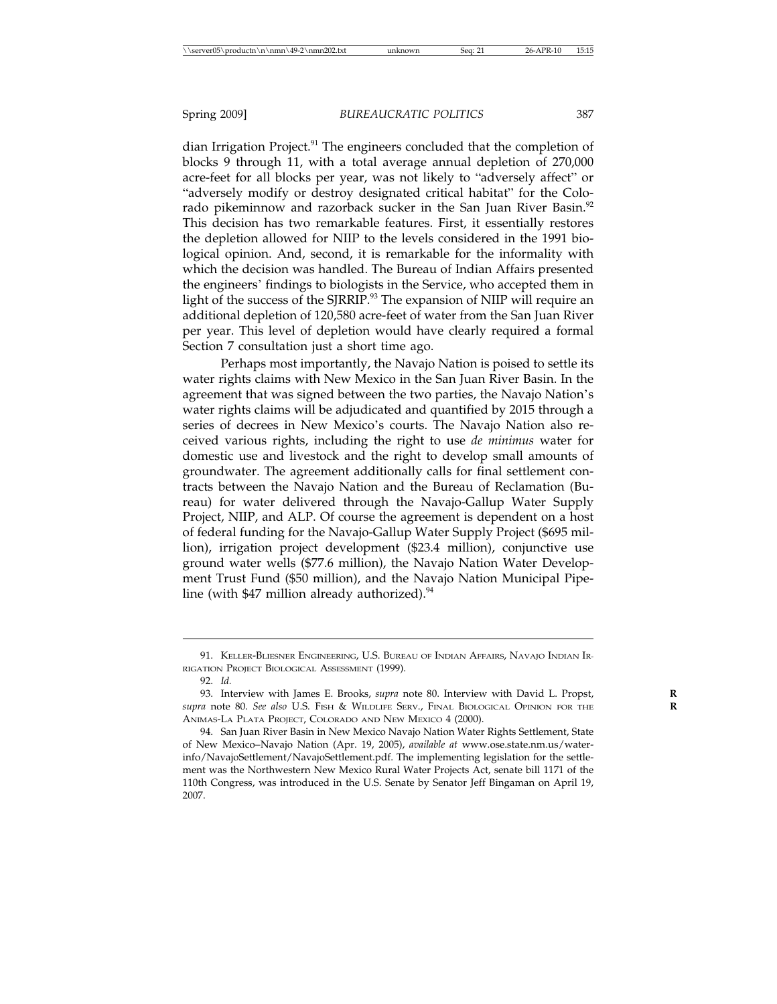dian Irrigation Project.<sup>91</sup> The engineers concluded that the completion of blocks 9 through 11, with a total average annual depletion of 270,000 acre-feet for all blocks per year, was not likely to "adversely affect" or "adversely modify or destroy designated critical habitat" for the Colorado pikeminnow and razorback sucker in the San Juan River Basin.<sup>92</sup> This decision has two remarkable features. First, it essentially restores the depletion allowed for NIIP to the levels considered in the 1991 biological opinion. And, second, it is remarkable for the informality with which the decision was handled. The Bureau of Indian Affairs presented the engineers' findings to biologists in the Service, who accepted them in light of the success of the SJRRIP.<sup>93</sup> The expansion of NIIP will require an additional depletion of 120,580 acre-feet of water from the San Juan River per year. This level of depletion would have clearly required a formal Section 7 consultation just a short time ago.

Perhaps most importantly, the Navajo Nation is poised to settle its water rights claims with New Mexico in the San Juan River Basin. In the agreement that was signed between the two parties, the Navajo Nation's water rights claims will be adjudicated and quantified by 2015 through a series of decrees in New Mexico's courts. The Navajo Nation also received various rights, including the right to use *de minimus* water for domestic use and livestock and the right to develop small amounts of groundwater. The agreement additionally calls for final settlement contracts between the Navajo Nation and the Bureau of Reclamation (Bureau) for water delivered through the Navajo-Gallup Water Supply Project, NIIP, and ALP. Of course the agreement is dependent on a host of federal funding for the Navajo-Gallup Water Supply Project (\$695 million), irrigation project development (\$23.4 million), conjunctive use ground water wells (\$77.6 million), the Navajo Nation Water Development Trust Fund (\$50 million), and the Navajo Nation Municipal Pipeline (with  $$47$  million already authorized).<sup>94</sup>

<sup>91.</sup> KELLER-BLIESNER ENGINEERING, U.S. BUREAU OF INDIAN AFFAIRS, NAVAJO INDIAN IR-RIGATION PROJECT BIOLOGICAL ASSESSMENT (1999).

<sup>92.</sup> *Id.*

<sup>93.</sup> Interview with James E. Brooks, *supra* note 80. Interview with David L. Propst, **R** *supra* note 80. *See also* U.S. FISH & WILDLIFE SERV., FINAL BIOLOGICAL OPINION FOR THE **R** ANIMAS-LA PLATA PROJECT, COLORADO AND NEW MEXICO 4 (2000).

<sup>94.</sup> San Juan River Basin in New Mexico Navajo Nation Water Rights Settlement, State of New Mexico–Navajo Nation (Apr. 19, 2005), *available at* www.ose.state.nm.us/waterinfo/NavajoSettlement/NavajoSettlement.pdf. The implementing legislation for the settlement was the Northwestern New Mexico Rural Water Projects Act, senate bill 1171 of the 110th Congress, was introduced in the U.S. Senate by Senator Jeff Bingaman on April 19, 2007.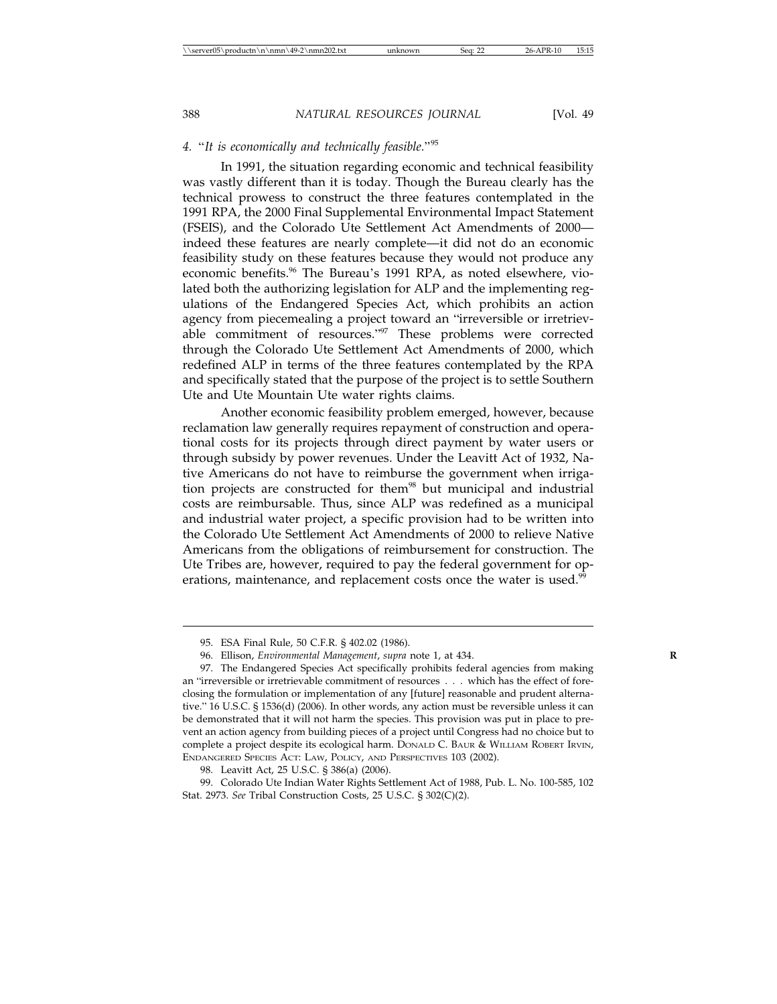#### *4.* "*It is economically and technically feasible.*"<sup>95</sup>

In 1991, the situation regarding economic and technical feasibility was vastly different than it is today. Though the Bureau clearly has the technical prowess to construct the three features contemplated in the 1991 RPA, the 2000 Final Supplemental Environmental Impact Statement (FSEIS), and the Colorado Ute Settlement Act Amendments of 2000 indeed these features are nearly complete—it did not do an economic feasibility study on these features because they would not produce any economic benefits.<sup>96</sup> The Bureau's 1991 RPA, as noted elsewhere, violated both the authorizing legislation for ALP and the implementing regulations of the Endangered Species Act, which prohibits an action agency from piecemealing a project toward an "irreversible or irretrievable commitment of resources."97 These problems were corrected through the Colorado Ute Settlement Act Amendments of 2000, which redefined ALP in terms of the three features contemplated by the RPA and specifically stated that the purpose of the project is to settle Southern Ute and Ute Mountain Ute water rights claims.

Another economic feasibility problem emerged, however, because reclamation law generally requires repayment of construction and operational costs for its projects through direct payment by water users or through subsidy by power revenues. Under the Leavitt Act of 1932, Native Americans do not have to reimburse the government when irrigation projects are constructed for them<sup>98</sup> but municipal and industrial costs are reimbursable. Thus, since ALP was redefined as a municipal and industrial water project, a specific provision had to be written into the Colorado Ute Settlement Act Amendments of 2000 to relieve Native Americans from the obligations of reimbursement for construction. The Ute Tribes are, however, required to pay the federal government for operations, maintenance, and replacement costs once the water is used.<sup>99</sup>

<sup>95.</sup> ESA Final Rule, 50 C.F.R. § 402.02 (1986).

<sup>96.</sup> Ellison, *Environmental Management*, *supra* note 1, at 434.

<sup>97.</sup> The Endangered Species Act specifically prohibits federal agencies from making an "irreversible or irretrievable commitment of resources... which has the effect of foreclosing the formulation or implementation of any [future] reasonable and prudent alternative." 16 U.S.C. § 1536(d) (2006). In other words, any action must be reversible unless it can be demonstrated that it will not harm the species. This provision was put in place to prevent an action agency from building pieces of a project until Congress had no choice but to complete a project despite its ecological harm. DONALD C. BAUR & WILLIAM ROBERT IRVIN, ENDANGERED SPECIES ACT: LAW, POLICY, AND PERSPECTIVES 103 (2002).

<sup>98.</sup> Leavitt Act, 25 U.S.C. § 386(a) (2006).

<sup>99.</sup> Colorado Ute Indian Water Rights Settlement Act of 1988, Pub. L. No. 100-585, 102 Stat. 2973. *See* Tribal Construction Costs, 25 U.S.C. § 302(C)(2).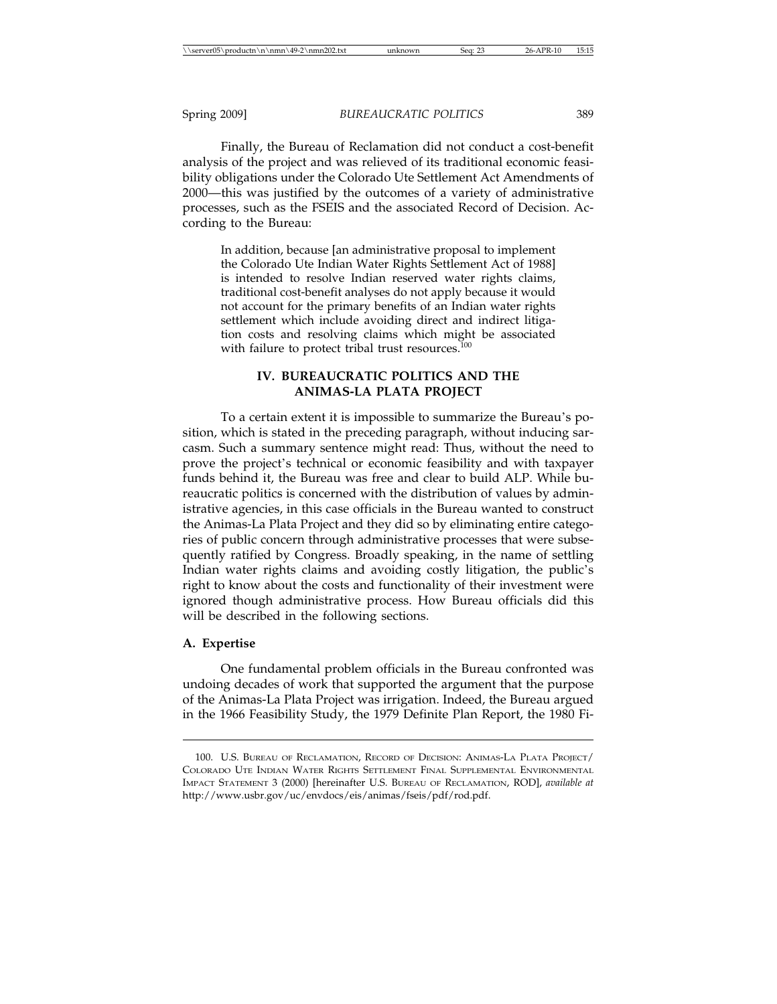Finally, the Bureau of Reclamation did not conduct a cost-benefit analysis of the project and was relieved of its traditional economic feasibility obligations under the Colorado Ute Settlement Act Amendments of 2000—this was justified by the outcomes of a variety of administrative processes, such as the FSEIS and the associated Record of Decision. According to the Bureau:

In addition, because [an administrative proposal to implement the Colorado Ute Indian Water Rights Settlement Act of 1988] is intended to resolve Indian reserved water rights claims, traditional cost-benefit analyses do not apply because it would not account for the primary benefits of an Indian water rights settlement which include avoiding direct and indirect litigation costs and resolving claims which might be associated with failure to protect tribal trust resources.<sup>1</sup>

#### **IV. BUREAUCRATIC POLITICS AND THE ANIMAS-LA PLATA PROJECT**

To a certain extent it is impossible to summarize the Bureau's position, which is stated in the preceding paragraph, without inducing sarcasm. Such a summary sentence might read: Thus, without the need to prove the project's technical or economic feasibility and with taxpayer funds behind it, the Bureau was free and clear to build ALP. While bureaucratic politics is concerned with the distribution of values by administrative agencies, in this case officials in the Bureau wanted to construct the Animas-La Plata Project and they did so by eliminating entire categories of public concern through administrative processes that were subsequently ratified by Congress. Broadly speaking, in the name of settling Indian water rights claims and avoiding costly litigation, the public's right to know about the costs and functionality of their investment were ignored though administrative process. How Bureau officials did this will be described in the following sections.

#### **A. Expertise**

One fundamental problem officials in the Bureau confronted was undoing decades of work that supported the argument that the purpose of the Animas-La Plata Project was irrigation. Indeed, the Bureau argued in the 1966 Feasibility Study, the 1979 Definite Plan Report, the 1980 Fi-

<sup>100.</sup> U.S. BUREAU OF RECLAMATION, RECORD OF DECISION: ANIMAS-LA PLATA PROJECT/ COLORADO UTE INDIAN WATER RIGHTS SETTLEMENT FINAL SUPPLEMENTAL ENVIRONMENTAL IMPACT STATEMENT 3 (2000) [hereinafter U.S. BUREAU OF RECLAMATION, ROD], *available at* http://www.usbr.gov/uc/envdocs/eis/animas/fseis/pdf/rod.pdf.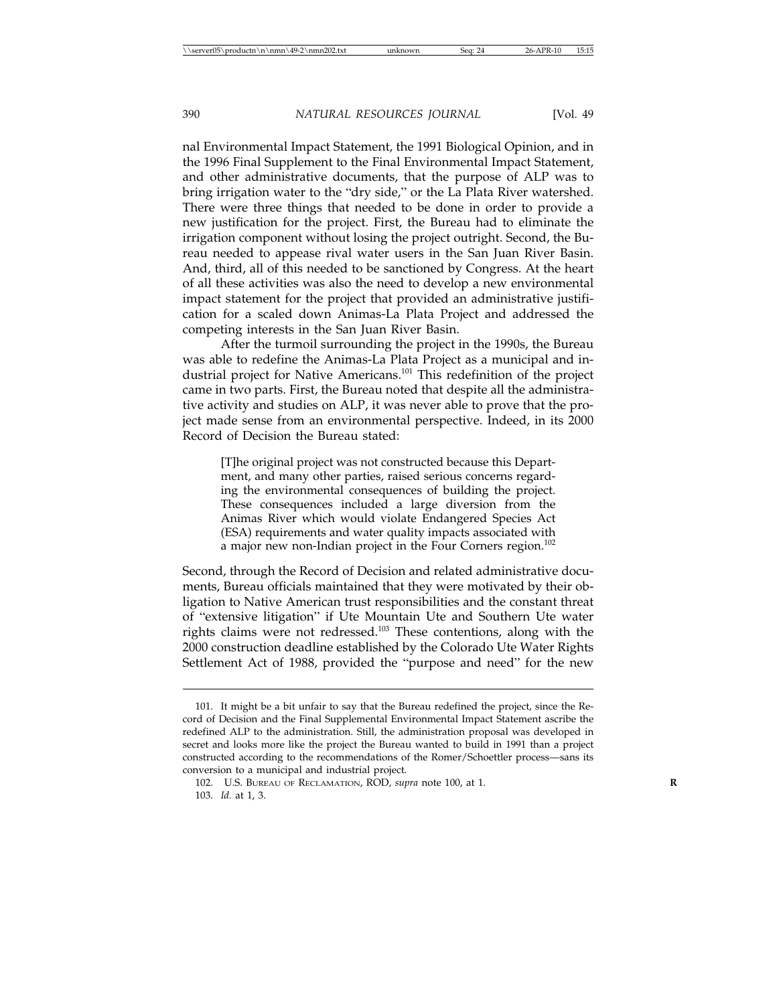nal Environmental Impact Statement, the 1991 Biological Opinion, and in the 1996 Final Supplement to the Final Environmental Impact Statement, and other administrative documents, that the purpose of ALP was to bring irrigation water to the "dry side," or the La Plata River watershed. There were three things that needed to be done in order to provide a new justification for the project. First, the Bureau had to eliminate the irrigation component without losing the project outright. Second, the Bureau needed to appease rival water users in the San Juan River Basin. And, third, all of this needed to be sanctioned by Congress. At the heart of all these activities was also the need to develop a new environmental impact statement for the project that provided an administrative justification for a scaled down Animas-La Plata Project and addressed the competing interests in the San Juan River Basin.

After the turmoil surrounding the project in the 1990s, the Bureau was able to redefine the Animas-La Plata Project as a municipal and industrial project for Native Americans.101 This redefinition of the project came in two parts. First, the Bureau noted that despite all the administrative activity and studies on ALP, it was never able to prove that the project made sense from an environmental perspective. Indeed, in its 2000 Record of Decision the Bureau stated:

[T]he original project was not constructed because this Department, and many other parties, raised serious concerns regarding the environmental consequences of building the project. These consequences included a large diversion from the Animas River which would violate Endangered Species Act (ESA) requirements and water quality impacts associated with a major new non-Indian project in the Four Corners region.<sup>102</sup>

Second, through the Record of Decision and related administrative documents, Bureau officials maintained that they were motivated by their obligation to Native American trust responsibilities and the constant threat of "extensive litigation" if Ute Mountain Ute and Southern Ute water rights claims were not redressed.103 These contentions, along with the 2000 construction deadline established by the Colorado Ute Water Rights Settlement Act of 1988, provided the "purpose and need" for the new

<sup>101.</sup> It might be a bit unfair to say that the Bureau redefined the project, since the Record of Decision and the Final Supplemental Environmental Impact Statement ascribe the redefined ALP to the administration. Still, the administration proposal was developed in secret and looks more like the project the Bureau wanted to build in 1991 than a project constructed according to the recommendations of the Romer/Schoettler process—sans its conversion to a municipal and industrial project.

<sup>102.</sup> U.S. BUREAU OF RECLAMATION, ROD, *supra* note 100, at 1. **R** 103. *Id.* at 1, 3.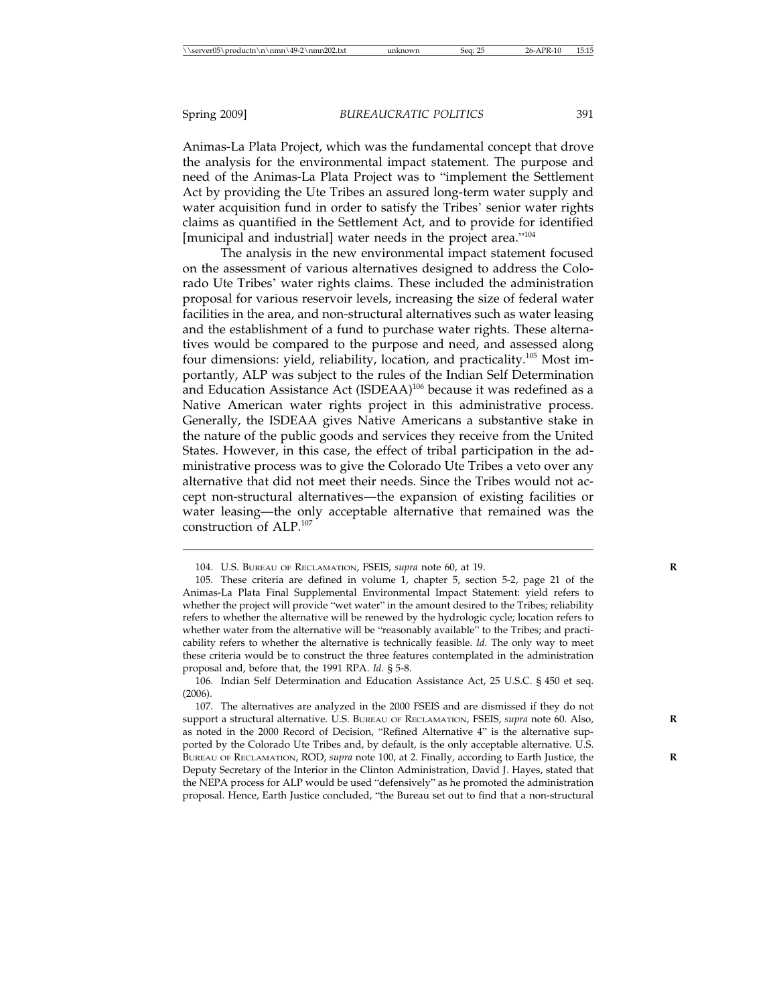Animas-La Plata Project, which was the fundamental concept that drove the analysis for the environmental impact statement. The purpose and need of the Animas-La Plata Project was to "implement the Settlement Act by providing the Ute Tribes an assured long-term water supply and water acquisition fund in order to satisfy the Tribes' senior water rights claims as quantified in the Settlement Act, and to provide for identified [municipal and industrial] water needs in the project area."<sup>104</sup>

The analysis in the new environmental impact statement focused on the assessment of various alternatives designed to address the Colorado Ute Tribes' water rights claims. These included the administration proposal for various reservoir levels, increasing the size of federal water facilities in the area, and non-structural alternatives such as water leasing and the establishment of a fund to purchase water rights. These alternatives would be compared to the purpose and need, and assessed along four dimensions: yield, reliability, location, and practicality.<sup>105</sup> Most importantly, ALP was subject to the rules of the Indian Self Determination and Education Assistance Act (ISDEAA)<sup>106</sup> because it was redefined as a Native American water rights project in this administrative process. Generally, the ISDEAA gives Native Americans a substantive stake in the nature of the public goods and services they receive from the United States. However, in this case, the effect of tribal participation in the administrative process was to give the Colorado Ute Tribes a veto over any alternative that did not meet their needs. Since the Tribes would not accept non-structural alternatives—the expansion of existing facilities or water leasing—the only acceptable alternative that remained was the construction of ALP.<sup>107</sup>

<sup>104.</sup> U.S. BUREAU OF RECLAMATION, FSEIS, *supra* note 60, at 19. **R**

<sup>105.</sup> These criteria are defined in volume 1, chapter 5, section 5-2, page 21 of the Animas-La Plata Final Supplemental Environmental Impact Statement: yield refers to whether the project will provide "wet water" in the amount desired to the Tribes; reliability refers to whether the alternative will be renewed by the hydrologic cycle; location refers to whether water from the alternative will be "reasonably available" to the Tribes; and practicability refers to whether the alternative is technically feasible. *Id.* The only way to meet these criteria would be to construct the three features contemplated in the administration proposal and, before that, the 1991 RPA. *Id.* § 5-8.

<sup>106.</sup> Indian Self Determination and Education Assistance Act, 25 U.S.C. § 450 et seq. (2006).

<sup>107.</sup> The alternatives are analyzed in the 2000 FSEIS and are dismissed if they do not support a structural alternative. U.S. BUREAU OF RECLAMATION, FSEIS, *supra* note 60. Also, as noted in the 2000 Record of Decision, "Refined Alternative 4" is the alternative supported by the Colorado Ute Tribes and, by default, is the only acceptable alternative. U.S. BUREAU OF RECLAMATION, ROD, *supra* note 100, at 2. Finally, according to Earth Justice, the **R** Deputy Secretary of the Interior in the Clinton Administration, David J. Hayes, stated that the NEPA process for ALP would be used "defensively" as he promoted the administration proposal. Hence, Earth Justice concluded, "the Bureau set out to find that a non-structural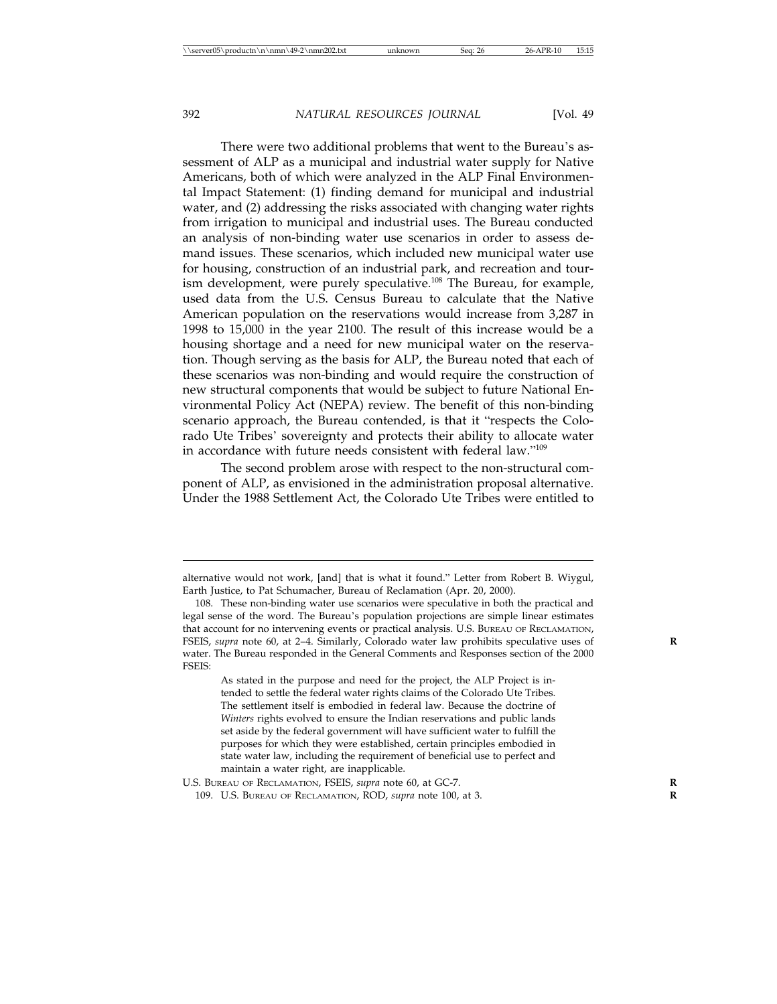There were two additional problems that went to the Bureau's assessment of ALP as a municipal and industrial water supply for Native Americans, both of which were analyzed in the ALP Final Environmental Impact Statement: (1) finding demand for municipal and industrial water, and (2) addressing the risks associated with changing water rights from irrigation to municipal and industrial uses. The Bureau conducted an analysis of non-binding water use scenarios in order to assess demand issues. These scenarios, which included new municipal water use for housing, construction of an industrial park, and recreation and tourism development, were purely speculative.<sup>108</sup> The Bureau, for example, used data from the U.S. Census Bureau to calculate that the Native American population on the reservations would increase from 3,287 in 1998 to 15,000 in the year 2100. The result of this increase would be a housing shortage and a need for new municipal water on the reservation. Though serving as the basis for ALP, the Bureau noted that each of these scenarios was non-binding and would require the construction of new structural components that would be subject to future National Environmental Policy Act (NEPA) review. The benefit of this non-binding scenario approach, the Bureau contended, is that it "respects the Colorado Ute Tribes' sovereignty and protects their ability to allocate water in accordance with future needs consistent with federal law."<sup>109</sup>

The second problem arose with respect to the non-structural component of ALP, as envisioned in the administration proposal alternative. Under the 1988 Settlement Act, the Colorado Ute Tribes were entitled to

As stated in the purpose and need for the project, the ALP Project is intended to settle the federal water rights claims of the Colorado Ute Tribes. The settlement itself is embodied in federal law. Because the doctrine of *Winters* rights evolved to ensure the Indian reservations and public lands set aside by the federal government will have sufficient water to fulfill the purposes for which they were established, certain principles embodied in state water law, including the requirement of beneficial use to perfect and maintain a water right, are inapplicable.

alternative would not work, [and] that is what it found." Letter from Robert B. Wiygul, Earth Justice, to Pat Schumacher, Bureau of Reclamation (Apr. 20, 2000).

<sup>108.</sup> These non-binding water use scenarios were speculative in both the practical and legal sense of the word. The Bureau's population projections are simple linear estimates that account for no intervening events or practical analysis. U.S. BUREAU OF RECLAMATION, FSEIS, *supra* note 60, at 2-4. Similarly, Colorado water law prohibits speculative uses of water. The Bureau responded in the General Comments and Responses section of the 2000 FSEIS:

U.S. BUREAU OF RECLAMATION, FSEIS, *supra* note 60, at GC-7. **R**

<sup>109.</sup> U.S. BUREAU OF RECLAMATION, ROD, *supra* note 100, at 3. **R**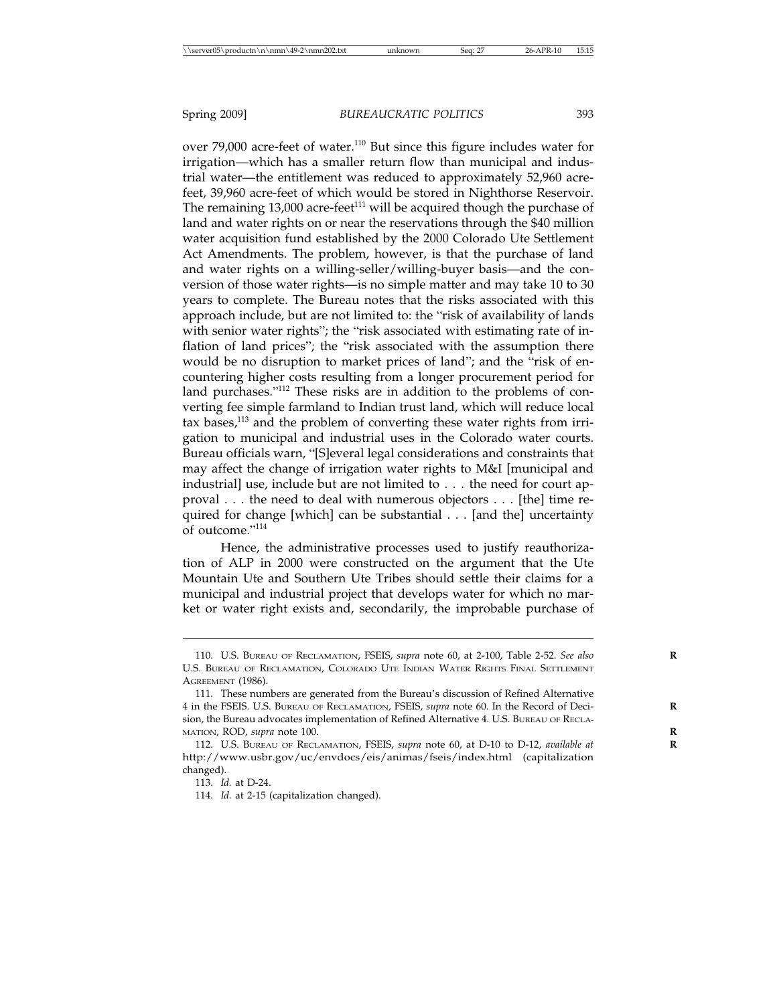over 79,000 acre-feet of water.<sup>110</sup> But since this figure includes water for irrigation—which has a smaller return flow than municipal and industrial water—the entitlement was reduced to approximately 52,960 acrefeet, 39,960 acre-feet of which would be stored in Nighthorse Reservoir. The remaining  $13,000$  acre-feet<sup>111</sup> will be acquired though the purchase of land and water rights on or near the reservations through the \$40 million water acquisition fund established by the 2000 Colorado Ute Settlement Act Amendments. The problem, however, is that the purchase of land and water rights on a willing-seller/willing-buyer basis—and the conversion of those water rights—is no simple matter and may take 10 to 30 years to complete. The Bureau notes that the risks associated with this approach include, but are not limited to: the "risk of availability of lands with senior water rights"; the "risk associated with estimating rate of inflation of land prices"; the "risk associated with the assumption there would be no disruption to market prices of land"; and the "risk of encountering higher costs resulting from a longer procurement period for land purchases."<sup>112</sup> These risks are in addition to the problems of converting fee simple farmland to Indian trust land, which will reduce local tax bases,<sup>113</sup> and the problem of converting these water rights from irrigation to municipal and industrial uses in the Colorado water courts. Bureau officials warn, "[S]everal legal considerations and constraints that may affect the change of irrigation water rights to M&I [municipal and industrial] use, include but are not limited to... the need for court approval... the need to deal with numerous objectors... [the] time required for change [which] can be substantial... [and the] uncertainty of outcome."<sup>114</sup>

Hence, the administrative processes used to justify reauthorization of ALP in 2000 were constructed on the argument that the Ute Mountain Ute and Southern Ute Tribes should settle their claims for a municipal and industrial project that develops water for which no market or water right exists and, secondarily, the improbable purchase of

<sup>110.</sup> U.S. BUREAU OF RECLAMATION, FSEIS, *supra* note 60, at 2-100, Table 2-52. *See also* **R** U.S. BUREAU OF RECLAMATION, COLORADO UTE INDIAN WATER RIGHTS FINAL SETTLEMENT AGREEMENT (1986).

<sup>111.</sup> These numbers are generated from the Bureau's discussion of Refined Alternative 4 in the FSEIS. U.S. BUREAU OF RECLAMATION, FSEIS, *supra* note 60. In the Record of Deci- **R** sion, the Bureau advocates implementation of Refined Alternative 4. U.S. BUREAU OF RECLA-MATION, ROD, *supra* note 100. **R**

<sup>112.</sup> U.S. BUREAU OF RECLAMATION, FSEIS, *supra* note 60, at D-10 to D-12, *available at* **R** http://www.usbr.gov/uc/envdocs/eis/animas/fseis/index.html (capitalization changed).

<sup>113.</sup> *Id.* at D-24.

<sup>114.</sup> *Id.* at 2-15 (capitalization changed).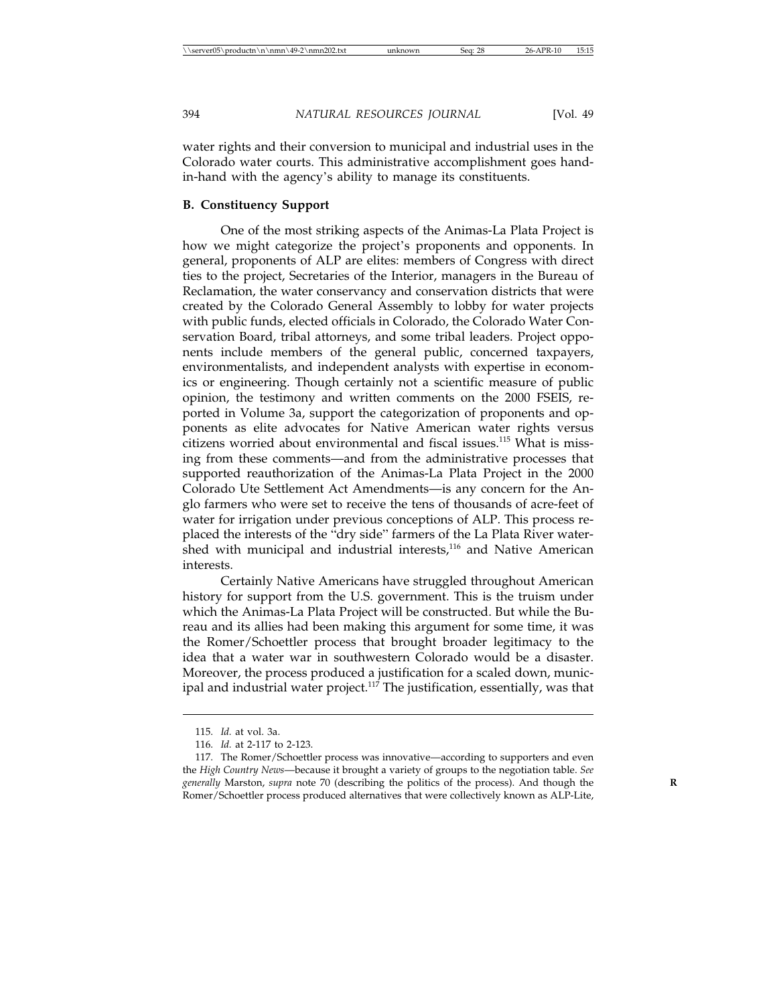water rights and their conversion to municipal and industrial uses in the Colorado water courts. This administrative accomplishment goes handin-hand with the agency's ability to manage its constituents.

#### **B. Constituency Support**

One of the most striking aspects of the Animas-La Plata Project is how we might categorize the project's proponents and opponents. In general, proponents of ALP are elites: members of Congress with direct ties to the project, Secretaries of the Interior, managers in the Bureau of Reclamation, the water conservancy and conservation districts that were created by the Colorado General Assembly to lobby for water projects with public funds, elected officials in Colorado, the Colorado Water Conservation Board, tribal attorneys, and some tribal leaders. Project opponents include members of the general public, concerned taxpayers, environmentalists, and independent analysts with expertise in economics or engineering. Though certainly not a scientific measure of public opinion, the testimony and written comments on the 2000 FSEIS, reported in Volume 3a, support the categorization of proponents and opponents as elite advocates for Native American water rights versus citizens worried about environmental and fiscal issues.<sup>115</sup> What is missing from these comments—and from the administrative processes that supported reauthorization of the Animas-La Plata Project in the 2000 Colorado Ute Settlement Act Amendments—is any concern for the Anglo farmers who were set to receive the tens of thousands of acre-feet of water for irrigation under previous conceptions of ALP. This process replaced the interests of the "dry side" farmers of the La Plata River watershed with municipal and industrial interests,<sup>116</sup> and Native American interests.

Certainly Native Americans have struggled throughout American history for support from the U.S. government. This is the truism under which the Animas-La Plata Project will be constructed. But while the Bureau and its allies had been making this argument for some time, it was the Romer/Schoettler process that brought broader legitimacy to the idea that a water war in southwestern Colorado would be a disaster. Moreover, the process produced a justification for a scaled down, municipal and industrial water project.<sup>117</sup> The justification, essentially, was that

<sup>115.</sup> *Id.* at vol. 3a.

<sup>116.</sup> *Id.* at 2-117 to 2-123.

<sup>117.</sup> The Romer/Schoettler process was innovative—according to supporters and even the *High Country News*—because it brought a variety of groups to the negotiation table. *See generally* Marston, *supra* note 70 (describing the politics of the process). And though the **R** Romer/Schoettler process produced alternatives that were collectively known as ALP-Lite,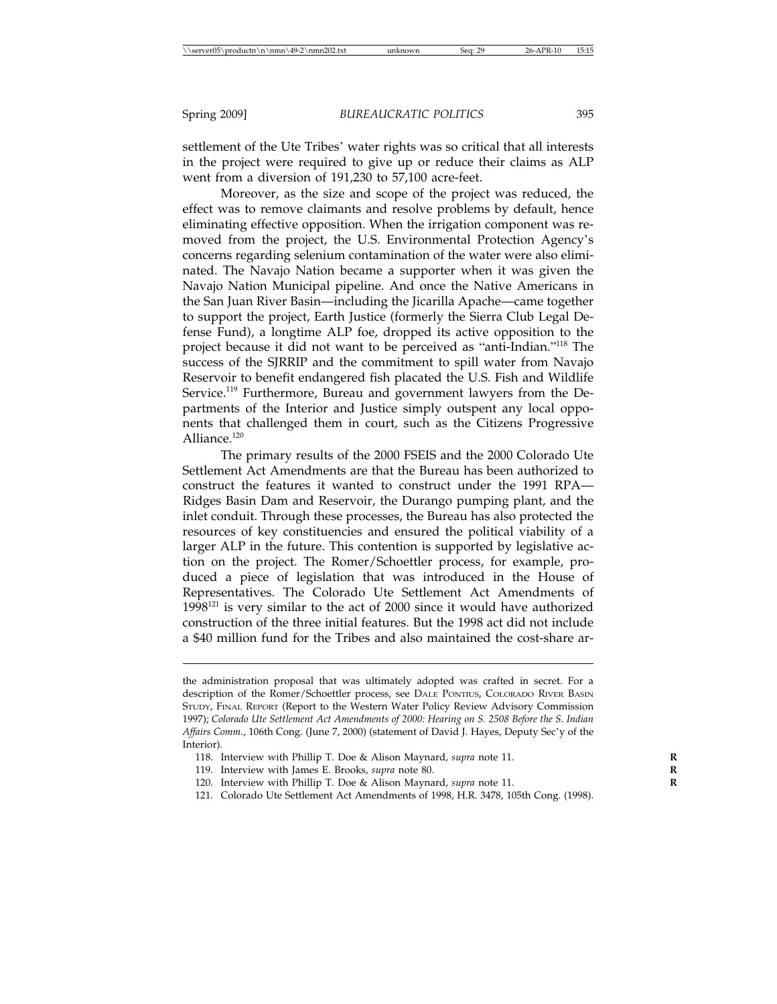settlement of the Ute Tribes' water rights was so critical that all interests in the project were required to give up or reduce their claims as ALP went from a diversion of 191,230 to 57,100 acre-feet.

Moreover, as the size and scope of the project was reduced, the effect was to remove claimants and resolve problems by default, hence eliminating effective opposition. When the irrigation component was removed from the project, the U.S. Environmental Protection Agency's concerns regarding selenium contamination of the water were also eliminated. The Navajo Nation became a supporter when it was given the Navajo Nation Municipal pipeline. And once the Native Americans in the San Juan River Basin—including the Jicarilla Apache—came together to support the project, Earth Justice (formerly the Sierra Club Legal Defense Fund), a longtime ALP foe, dropped its active opposition to the project because it did not want to be perceived as "anti-Indian."118 The success of the SJRRIP and the commitment to spill water from Navajo Reservoir to benefit endangered fish placated the U.S. Fish and Wildlife Service.<sup>119</sup> Furthermore, Bureau and government lawyers from the Departments of the Interior and Justice simply outspent any local opponents that challenged them in court, such as the Citizens Progressive Alliance.<sup>120</sup>

The primary results of the 2000 FSEIS and the 2000 Colorado Ute Settlement Act Amendments are that the Bureau has been authorized to construct the features it wanted to construct under the 1991 RPA— Ridges Basin Dam and Reservoir, the Durango pumping plant, and the inlet conduit. Through these processes, the Bureau has also protected the resources of key constituencies and ensured the political viability of a larger ALP in the future. This contention is supported by legislative action on the project. The Romer/Schoettler process, for example, produced a piece of legislation that was introduced in the House of Representatives. The Colorado Ute Settlement Act Amendments of  $1998<sup>121</sup>$  is very similar to the act of 2000 since it would have authorized construction of the three initial features. But the 1998 act did not include a \$40 million fund for the Tribes and also maintained the cost-share ar-

- 118. Interview with Phillip T. Doe & Alison Maynard, *supra* note 11. **R**
- 119. Interview with James E. Brooks, *supra* note 80. **R**
- 120. Interview with Phillip T. Doe & Alison Maynard, *supra* note 11. **R**
- 121. Colorado Ute Settlement Act Amendments of 1998, H.R. 3478, 105th Cong. (1998).

the administration proposal that was ultimately adopted was crafted in secret. For a description of the Romer/Schoettler process, see DALE PONTIUS, COLORADO RIVER BASIN STUDY, FINAL REPORT (Report to the Western Water Policy Review Advisory Commission 1997); *Colorado Ute Settlement Act Amendments of 2000: Hearing on S. 2508 Before the S. Indian Affairs Comm.*, 106th Cong. (June 7, 2000) (statement of David J. Hayes, Deputy Sec'y of the Interior).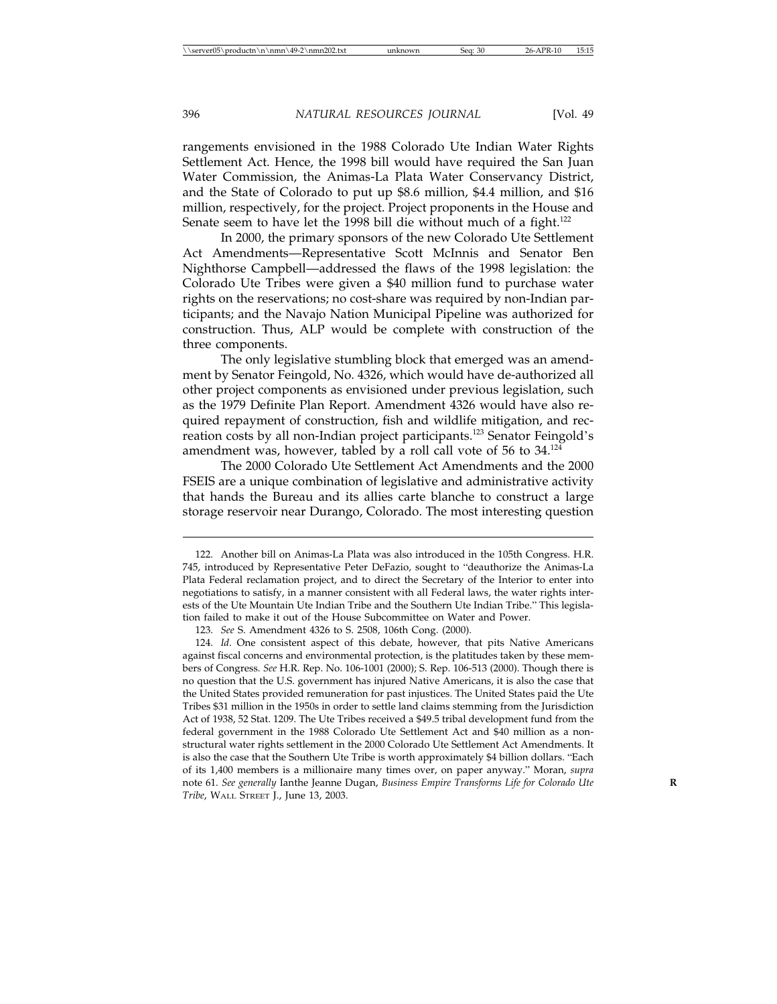rangements envisioned in the 1988 Colorado Ute Indian Water Rights Settlement Act. Hence, the 1998 bill would have required the San Juan Water Commission, the Animas-La Plata Water Conservancy District, and the State of Colorado to put up \$8.6 million, \$4.4 million, and \$16 million, respectively, for the project. Project proponents in the House and Senate seem to have let the 1998 bill die without much of a fight.<sup>122</sup>

In 2000, the primary sponsors of the new Colorado Ute Settlement Act Amendments—Representative Scott McInnis and Senator Ben Nighthorse Campbell—addressed the flaws of the 1998 legislation: the Colorado Ute Tribes were given a \$40 million fund to purchase water rights on the reservations; no cost-share was required by non-Indian participants; and the Navajo Nation Municipal Pipeline was authorized for construction. Thus, ALP would be complete with construction of the three components.

The only legislative stumbling block that emerged was an amendment by Senator Feingold, No. 4326, which would have de-authorized all other project components as envisioned under previous legislation, such as the 1979 Definite Plan Report. Amendment 4326 would have also required repayment of construction, fish and wildlife mitigation, and recreation costs by all non-Indian project participants.123 Senator Feingold's amendment was, however, tabled by a roll call vote of 56 to  $34$ .<sup>124</sup>

The 2000 Colorado Ute Settlement Act Amendments and the 2000 FSEIS are a unique combination of legislative and administrative activity that hands the Bureau and its allies carte blanche to construct a large storage reservoir near Durango, Colorado. The most interesting question

<sup>122.</sup> Another bill on Animas-La Plata was also introduced in the 105th Congress. H.R. 745, introduced by Representative Peter DeFazio, sought to "deauthorize the Animas-La Plata Federal reclamation project, and to direct the Secretary of the Interior to enter into negotiations to satisfy, in a manner consistent with all Federal laws, the water rights interests of the Ute Mountain Ute Indian Tribe and the Southern Ute Indian Tribe." This legislation failed to make it out of the House Subcommittee on Water and Power.

<sup>123.</sup> *See* S. Amendment 4326 to S. 2508, 106th Cong. (2000).

<sup>124.</sup> *Id*. One consistent aspect of this debate, however, that pits Native Americans against fiscal concerns and environmental protection, is the platitudes taken by these members of Congress. *See* H.R. Rep. No. 106-1001 (2000); S. Rep. 106-513 (2000). Though there is no question that the U.S. government has injured Native Americans, it is also the case that the United States provided remuneration for past injustices. The United States paid the Ute Tribes \$31 million in the 1950s in order to settle land claims stemming from the Jurisdiction Act of 1938, 52 Stat. 1209. The Ute Tribes received a \$49.5 tribal development fund from the federal government in the 1988 Colorado Ute Settlement Act and \$40 million as a nonstructural water rights settlement in the 2000 Colorado Ute Settlement Act Amendments. It is also the case that the Southern Ute Tribe is worth approximately \$4 billion dollars. "Each of its 1,400 members is a millionaire many times over, on paper anyway." Moran, *supra* note 61. *See generally* Ianthe Jeanne Dugan, *Business Empire Transforms Life for Colorado Ute* **R** *Tribe*, WALL STREET J., June 13, 2003.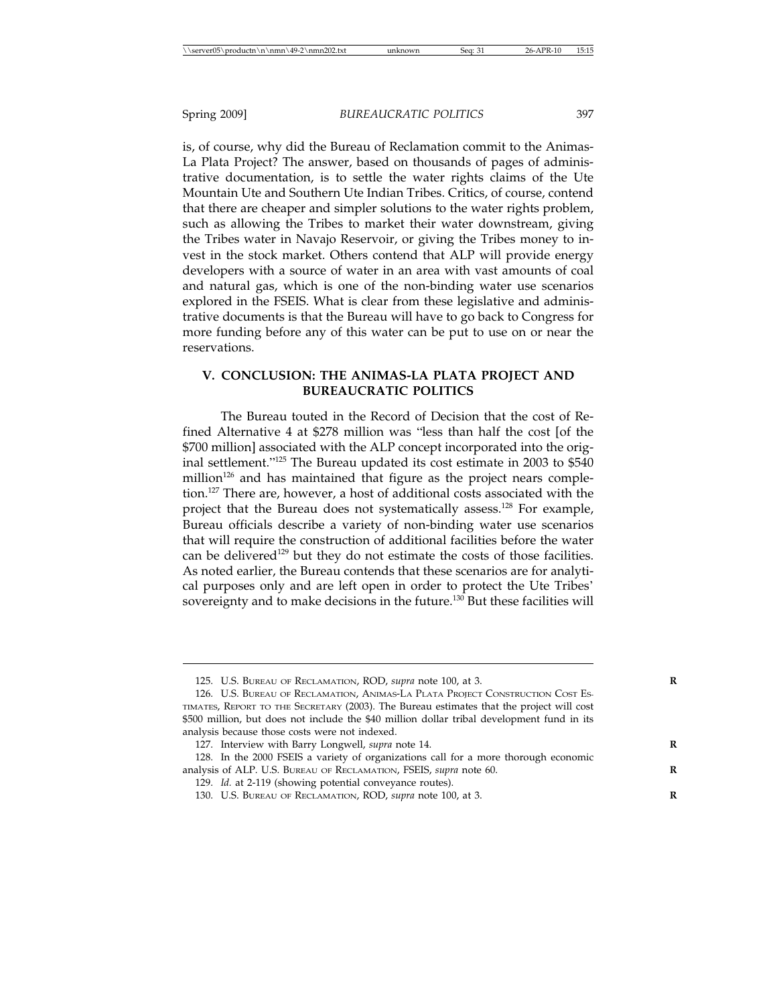is, of course, why did the Bureau of Reclamation commit to the Animas-La Plata Project? The answer, based on thousands of pages of administrative documentation, is to settle the water rights claims of the Ute Mountain Ute and Southern Ute Indian Tribes. Critics, of course, contend that there are cheaper and simpler solutions to the water rights problem, such as allowing the Tribes to market their water downstream, giving the Tribes water in Navajo Reservoir, or giving the Tribes money to invest in the stock market. Others contend that ALP will provide energy developers with a source of water in an area with vast amounts of coal and natural gas, which is one of the non-binding water use scenarios explored in the FSEIS. What is clear from these legislative and administrative documents is that the Bureau will have to go back to Congress for more funding before any of this water can be put to use on or near the reservations.

#### **V. CONCLUSION: THE ANIMAS-LA PLATA PROJECT AND BUREAUCRATIC POLITICS**

The Bureau touted in the Record of Decision that the cost of Refined Alternative 4 at \$278 million was "less than half the cost [of the \$700 million] associated with the ALP concept incorporated into the original settlement."125 The Bureau updated its cost estimate in 2003 to \$540 million<sup>126</sup> and has maintained that figure as the project nears completion.<sup>127</sup> There are, however, a host of additional costs associated with the project that the Bureau does not systematically assess.<sup>128</sup> For example, Bureau officials describe a variety of non-binding water use scenarios that will require the construction of additional facilities before the water can be delivered<sup>129</sup> but they do not estimate the costs of those facilities. As noted earlier, the Bureau contends that these scenarios are for analytical purposes only and are left open in order to protect the Ute Tribes' sovereignty and to make decisions in the future.<sup>130</sup> But these facilities will

<sup>125.</sup> U.S. BUREAU OF RECLAMATION, ROD, *supra* note 100, at 3. **R**

<sup>126.</sup> U.S. BUREAU OF RECLAMATION, ANIMAS-LA PLATA PROJECT CONSTRUCTION COST ES-TIMATES, REPORT TO THE SECRETARY (2003). The Bureau estimates that the project will cost \$500 million, but does not include the \$40 million dollar tribal development fund in its analysis because those costs were not indexed.

<sup>127.</sup> Interview with Barry Longwell, *supra* note 14.

<sup>128.</sup> In the 2000 FSEIS a variety of organizations call for a more thorough economic analysis of ALP. U.S. BUREAU OF RECLAMATION, FSEIS, *supra* note 60. **R**

<sup>129.</sup> *Id.* at 2-119 (showing potential conveyance routes).

<sup>130.</sup> U.S. BUREAU OF RECLAMATION, ROD, *supra* note 100, at 3. **R**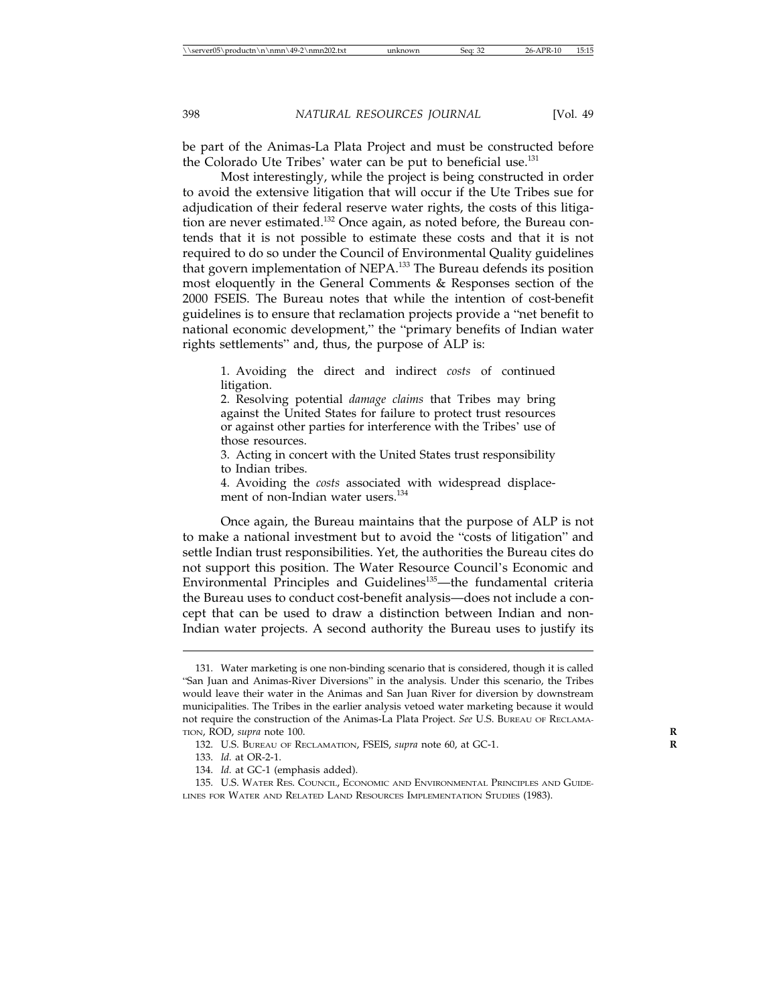be part of the Animas-La Plata Project and must be constructed before the Colorado Ute Tribes' water can be put to beneficial use.<sup>131</sup>

Most interestingly, while the project is being constructed in order to avoid the extensive litigation that will occur if the Ute Tribes sue for adjudication of their federal reserve water rights, the costs of this litigation are never estimated.<sup>132</sup> Once again, as noted before, the Bureau contends that it is not possible to estimate these costs and that it is not required to do so under the Council of Environmental Quality guidelines that govern implementation of NEPA.133 The Bureau defends its position most eloquently in the General Comments & Responses section of the 2000 FSEIS. The Bureau notes that while the intention of cost-benefit guidelines is to ensure that reclamation projects provide a "net benefit to national economic development," the "primary benefits of Indian water rights settlements" and, thus, the purpose of ALP is:

1. Avoiding the direct and indirect *costs* of continued litigation.

2. Resolving potential *damage claims* that Tribes may bring against the United States for failure to protect trust resources or against other parties for interference with the Tribes' use of those resources.

3. Acting in concert with the United States trust responsibility to Indian tribes.

4. Avoiding the *costs* associated with widespread displacement of non-Indian water users.<sup>134</sup>

Once again, the Bureau maintains that the purpose of ALP is not to make a national investment but to avoid the "costs of litigation" and settle Indian trust responsibilities. Yet, the authorities the Bureau cites do not support this position. The Water Resource Council's Economic and Environmental Principles and Guidelines<sup>135</sup>—the fundamental criteria the Bureau uses to conduct cost-benefit analysis—does not include a concept that can be used to draw a distinction between Indian and non-Indian water projects. A second authority the Bureau uses to justify its

<sup>131.</sup> Water marketing is one non-binding scenario that is considered, though it is called "San Juan and Animas-River Diversions" in the analysis. Under this scenario, the Tribes would leave their water in the Animas and San Juan River for diversion by downstream municipalities. The Tribes in the earlier analysis vetoed water marketing because it would not require the construction of the Animas-La Plata Project. *See* U.S. BUREAU OF RECLAMA-TION, ROD, *supra* note 100. **R**

<sup>132.</sup> U.S. BUREAU OF RECLAMATION, FSEIS, *supra* note 60, at GC-1. **R**

<sup>133.</sup> *Id.* at OR-2-1.

<sup>134.</sup> *Id.* at GC-1 (emphasis added).

<sup>135.</sup> U.S. WATER RES. COUNCIL, ECONOMIC AND ENVIRONMENTAL PRINCIPLES AND GUIDE-LINES FOR WATER AND RELATED LAND RESOURCES IMPLEMENTATION STUDIES (1983).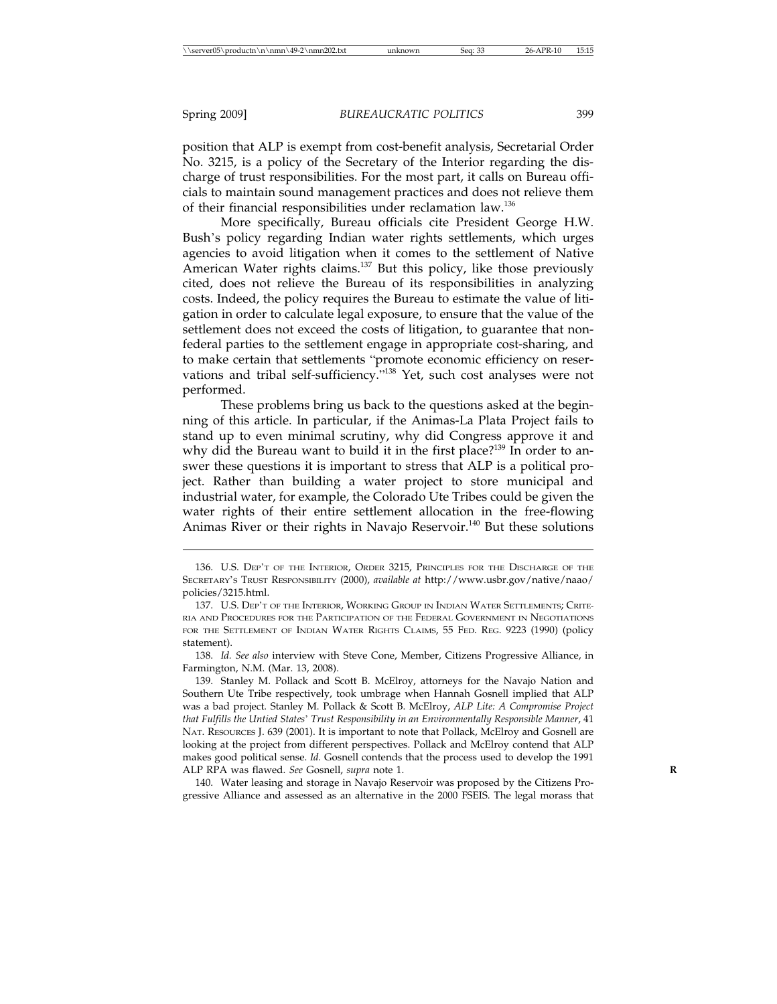position that ALP is exempt from cost-benefit analysis, Secretarial Order No. 3215, is a policy of the Secretary of the Interior regarding the discharge of trust responsibilities. For the most part, it calls on Bureau officials to maintain sound management practices and does not relieve them of their financial responsibilities under reclamation law.136

More specifically, Bureau officials cite President George H.W. Bush's policy regarding Indian water rights settlements, which urges agencies to avoid litigation when it comes to the settlement of Native American Water rights claims.<sup>137</sup> But this policy, like those previously cited, does not relieve the Bureau of its responsibilities in analyzing costs. Indeed, the policy requires the Bureau to estimate the value of litigation in order to calculate legal exposure, to ensure that the value of the settlement does not exceed the costs of litigation, to guarantee that nonfederal parties to the settlement engage in appropriate cost-sharing, and to make certain that settlements "promote economic efficiency on reservations and tribal self-sufficiency."138 Yet, such cost analyses were not performed.

These problems bring us back to the questions asked at the beginning of this article. In particular, if the Animas-La Plata Project fails to stand up to even minimal scrutiny, why did Congress approve it and why did the Bureau want to build it in the first place?<sup>139</sup> In order to answer these questions it is important to stress that ALP is a political project. Rather than building a water project to store municipal and industrial water, for example, the Colorado Ute Tribes could be given the water rights of their entire settlement allocation in the free-flowing Animas River or their rights in Navajo Reservoir.<sup>140</sup> But these solutions

138. *Id. See also* interview with Steve Cone, Member, Citizens Progressive Alliance, in Farmington, N.M. (Mar. 13, 2008).

139. Stanley M. Pollack and Scott B. McElroy, attorneys for the Navajo Nation and Southern Ute Tribe respectively, took umbrage when Hannah Gosnell implied that ALP was a bad project. Stanley M. Pollack & Scott B. McElroy, *ALP Lite: A Compromise Project that Fulfills the Untied States*' *Trust Responsibility in an Environmentally Responsible Manner*, 41 NAT. RESOURCES J. 639 (2001). It is important to note that Pollack, McElroy and Gosnell are looking at the project from different perspectives. Pollack and McElroy contend that ALP makes good political sense. *Id.* Gosnell contends that the process used to develop the 1991 ALP RPA was flawed. *See* Gosnell, *supra* note 1. **R**

140. Water leasing and storage in Navajo Reservoir was proposed by the Citizens Progressive Alliance and assessed as an alternative in the 2000 FSEIS. The legal morass that

<sup>136.</sup> U.S. DEP'T OF THE INTERIOR, ORDER 3215, PRINCIPLES FOR THE DISCHARGE OF THE SECRETARY'S TRUST RESPONSIBILITY (2000), *available at* http://www.usbr.gov/native/naao/ policies/3215.html.

<sup>137.</sup> U.S. DEP'T OF THE INTERIOR, WORKING GROUP IN INDIAN WATER SETTLEMENTS; CRITE-RIA AND PROCEDURES FOR THE PARTICIPATION OF THE FEDERAL GOVERNMENT IN NEGOTIATIONS FOR THE SETTLEMENT OF INDIAN WATER RIGHTS CLAIMS, 55 FED. REG. 9223 (1990) (policy statement).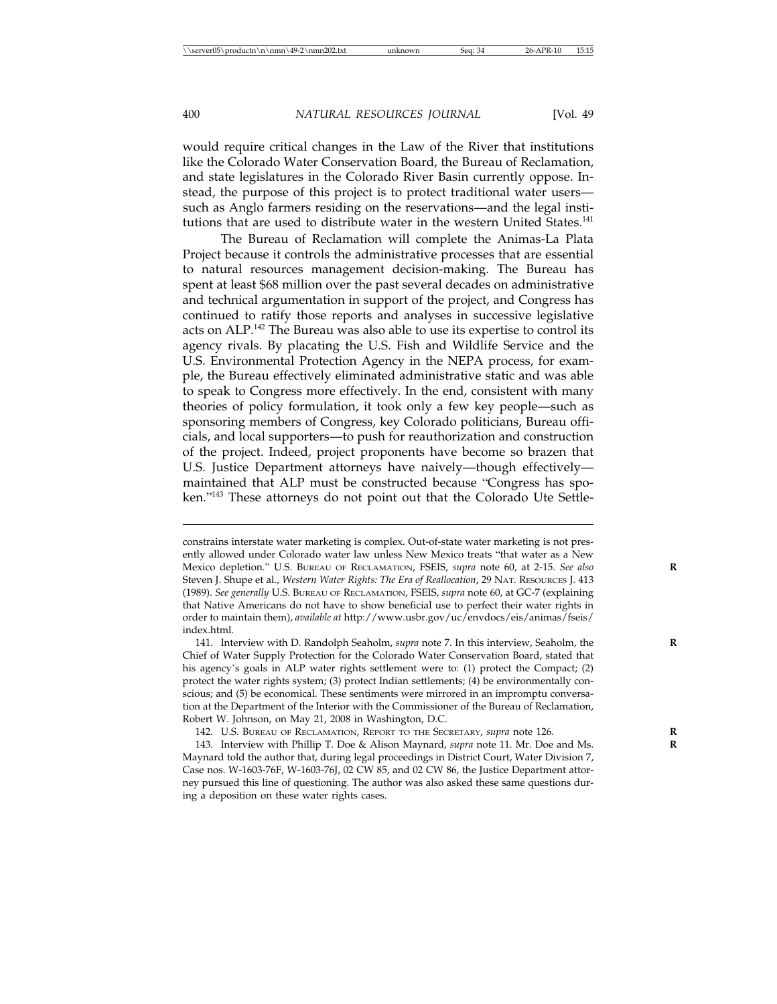would require critical changes in the Law of the River that institutions like the Colorado Water Conservation Board, the Bureau of Reclamation, and state legislatures in the Colorado River Basin currently oppose. Instead, the purpose of this project is to protect traditional water users such as Anglo farmers residing on the reservations—and the legal institutions that are used to distribute water in the western United States.<sup>141</sup>

The Bureau of Reclamation will complete the Animas-La Plata Project because it controls the administrative processes that are essential to natural resources management decision-making. The Bureau has spent at least \$68 million over the past several decades on administrative and technical argumentation in support of the project, and Congress has continued to ratify those reports and analyses in successive legislative acts on ALP.142 The Bureau was also able to use its expertise to control its agency rivals. By placating the U.S. Fish and Wildlife Service and the U.S. Environmental Protection Agency in the NEPA process, for example, the Bureau effectively eliminated administrative static and was able to speak to Congress more effectively. In the end, consistent with many theories of policy formulation, it took only a few key people—such as sponsoring members of Congress, key Colorado politicians, Bureau officials, and local supporters—to push for reauthorization and construction of the project. Indeed, project proponents have become so brazen that U.S. Justice Department attorneys have naively—though effectively maintained that ALP must be constructed because "Congress has spoken."143 These attorneys do not point out that the Colorado Ute Settle-

constrains interstate water marketing is complex. Out-of-state water marketing is not presently allowed under Colorado water law unless New Mexico treats "that water as a New Mexico depletion." U.S. BUREAU OF RECLAMATION, FSEIS, *supra* note 60, at 2-15. See also Steven J. Shupe et al., *Western Water Rights: The Era of Reallocation*, 29 NAT. RESOURCES J. 413 (1989). *See generally* U.S. BUREAU OF RECLAMATION, FSEIS, *supra* note 60, at GC-7 (explaining that Native Americans do not have to show beneficial use to perfect their water rights in order to maintain them), *available at* http://www.usbr.gov/uc/envdocs/eis/animas/fseis/ index.html.

<sup>141.</sup> Interview with D. Randolph Seaholm, *supra* note 7. In this interview, Seaholm, the **R** Chief of Water Supply Protection for the Colorado Water Conservation Board, stated that his agency's goals in ALP water rights settlement were to: (1) protect the Compact; (2) protect the water rights system; (3) protect Indian settlements; (4) be environmentally conscious; and (5) be economical. These sentiments were mirrored in an impromptu conversation at the Department of the Interior with the Commissioner of the Bureau of Reclamation, Robert W. Johnson, on May 21, 2008 in Washington, D.C.

<sup>142.</sup> U.S. BUREAU OF RECLAMATION, REPORT TO THE SECRETARY, *supra* note 126. **R**

<sup>143.</sup> Interview with Phillip T. Doe & Alison Maynard, *supra* note 11. Mr. Doe and Ms. **R** Maynard told the author that, during legal proceedings in District Court, Water Division 7, Case nos. W-1603-76F, W-1603-76J, 02 CW 85, and 02 CW 86, the Justice Department attorney pursued this line of questioning. The author was also asked these same questions during a deposition on these water rights cases.